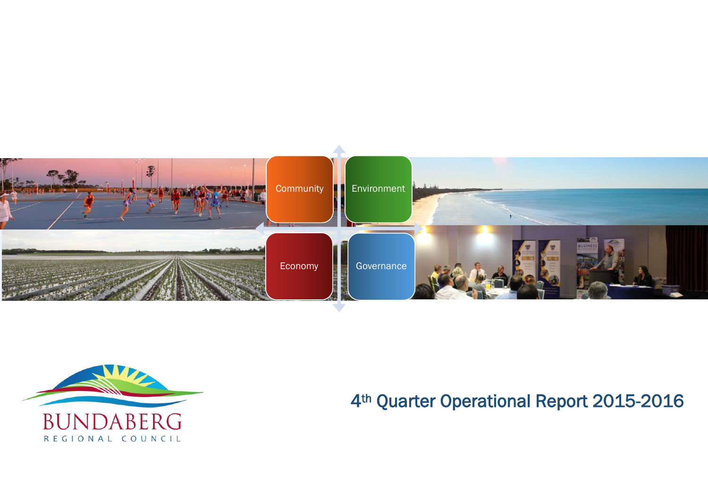



# 4th Quarter Operational Report 2015-2016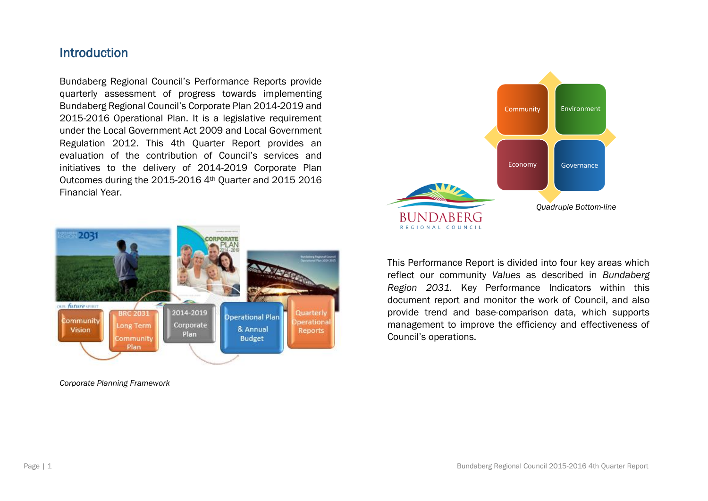### Introduction

Bundaberg Regional Council's Performance Reports provide quarterly assessment of progress towards implementing Bundaberg Regional Council's Corporate Plan 2014-2019 and 2015-2016 Operational Plan. It is a legislative requirement under the Local Government Act 2009 and Local Government Regulation 2012. This 4th Quarter Report provides an evaluation of the contribution of Council's services and initiatives to the delivery of 2014-2019 Corporate Plan Outcomes during the 2015-2016 4th Quarter and 2015 2016 Financial Year.



*Corporate Planning Framework* 



This Performance Report is divided into four key areas which reflect our community *Values* as described in *Bundaberg Region 2031.* Key Performance Indicators within this document report and monitor the work of Council, and also provide trend and base-comparison data, which supports management to improve the efficiency and effectiveness of Council's operations.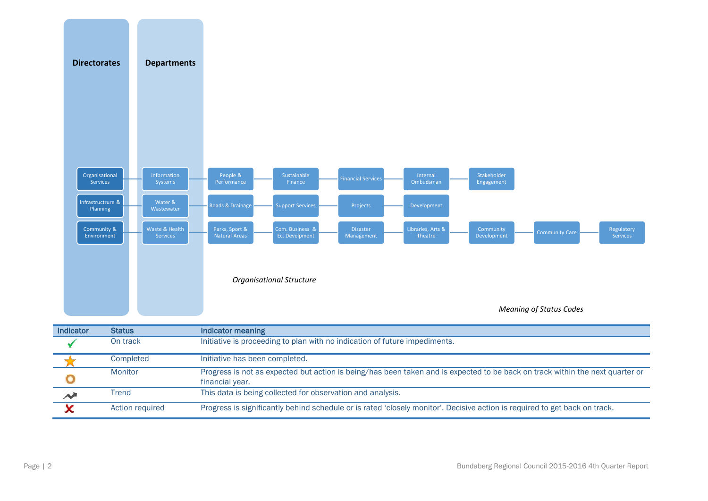

| Indicator     | <b>Status</b>   | Indicator meaning                                                                                                                                |
|---------------|-----------------|--------------------------------------------------------------------------------------------------------------------------------------------------|
|               | On track        | Initiative is proceeding to plan with no indication of future impediments.                                                                       |
|               | Completed       | Initiative has been completed.                                                                                                                   |
|               | Monitor         | Progress is not as expected but action is being/has been taken and is expected to be back on track within the next quarter or<br>financial year. |
| $\rightarrow$ | <b>Trend</b>    | This data is being collected for observation and analysis.                                                                                       |
|               | Action required | Progress is significantly behind schedule or is rated 'closely monitor'. Decisive action is required to get back on track.                       |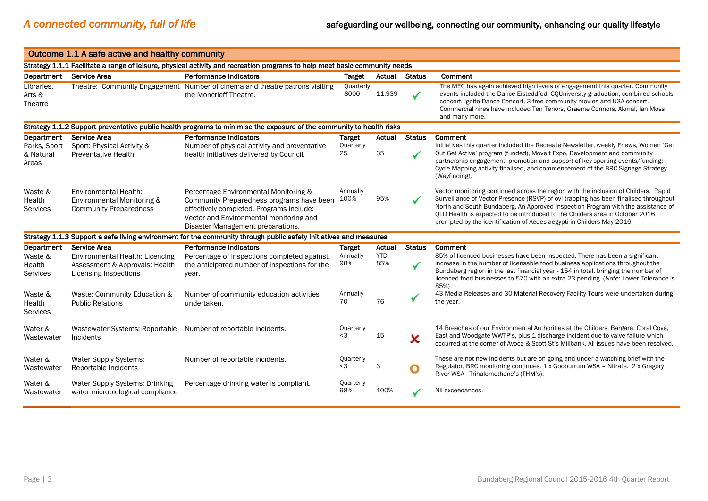|                                                                                                                            | Outcome 1.1 A safe active and healthy community                                             |                                                                                                                                                                                                                |                   |                   |               |                                                                                                                                                                                                                                                                                                                                                                                                                          |  |  |  |
|----------------------------------------------------------------------------------------------------------------------------|---------------------------------------------------------------------------------------------|----------------------------------------------------------------------------------------------------------------------------------------------------------------------------------------------------------------|-------------------|-------------------|---------------|--------------------------------------------------------------------------------------------------------------------------------------------------------------------------------------------------------------------------------------------------------------------------------------------------------------------------------------------------------------------------------------------------------------------------|--|--|--|
| Strategy 1.1.1 Facilitate a range of leisure, physical activity and recreation programs to help meet basic community needs |                                                                                             |                                                                                                                                                                                                                |                   |                   |               |                                                                                                                                                                                                                                                                                                                                                                                                                          |  |  |  |
| Department Service Area                                                                                                    |                                                                                             | <b>Performance Indicators</b>                                                                                                                                                                                  | <b>Target</b>     | Actual            | <b>Status</b> | Comment                                                                                                                                                                                                                                                                                                                                                                                                                  |  |  |  |
| Libraries.<br>Arts &<br>Theatre                                                                                            |                                                                                             | Theatre: Community Engagement Number of cinema and theatre patrons visiting<br>the Moncrieff Theatre.                                                                                                          | Quarterly<br>8000 | 11,939            |               | The MEC has again achieved high levels of engagement this quarter. Community<br>events included the Dance Eisteddfod, CQUniversity graduation, combined schools<br>concert, Ignite Dance Concert, 3 free community movies and U3A concert.<br>Commercial hires have included Ten Tenors, Graeme Connors, Akmal, Ian Moss<br>and many more.                                                                               |  |  |  |
|                                                                                                                            |                                                                                             | Strategy 1.1.2 Support preventative public health programs to minimise the exposure of the community to health risks                                                                                           |                   |                   |               |                                                                                                                                                                                                                                                                                                                                                                                                                          |  |  |  |
| Department                                                                                                                 | Service Area                                                                                | <b>Performance Indicators</b>                                                                                                                                                                                  | <b>Target</b>     | Actual            | <b>Status</b> | Comment                                                                                                                                                                                                                                                                                                                                                                                                                  |  |  |  |
| Parks, Sport<br>& Natural<br>Areas                                                                                         | Sport: Physical Activity &<br><b>Preventative Health</b>                                    | Number of physical activity and preventative<br>health initiatives delivered by Council.                                                                                                                       | Quarterly<br>25   | 35                |               | Initiatives this quarter included the Recreate Newsletter, weekly Enews, Women 'Get<br>Out Get Active' program (funded), Movelt Expo, Development and community<br>partnership engagement, promotion and support of key sporting events/funding;<br>Cycle Mapping activity finalised, and commencement of the BRC Signage Strategy<br>(Wayfinding).                                                                      |  |  |  |
| Waste &<br>Health<br>Services                                                                                              | <b>Environmental Health:</b><br>Environmental Monitoring &<br><b>Community Preparedness</b> | Percentage Environmental Monitoring &<br>Community Preparedness programs have been<br>effectively completed. Programs include:<br>Vector and Environmental monitoring and<br>Disaster Management preparations. | Annually<br>100%  | 95%               |               | Vector monitoring continued across the region with the inclusion of Childers. Rapid<br>Surveillance of Vector Presence (RSVP) of ovi trapping has been finalised throughout<br>North and South Bundaberg. An Approved Inspection Program with the assistance of<br>QLD Health is expected to be introduced to the Childers area in October 2016<br>prompted by the identification of Aedes aegypti in Childers May 2016. |  |  |  |
|                                                                                                                            |                                                                                             | Strategy 1.1.3 Support a safe living environment for the community through public safety initiatives and measures                                                                                              |                   |                   |               |                                                                                                                                                                                                                                                                                                                                                                                                                          |  |  |  |
| Department                                                                                                                 | <b>Service Area</b>                                                                         | <b>Performance Indicators</b>                                                                                                                                                                                  | <b>Target</b>     | Actual            | <b>Status</b> | Comment                                                                                                                                                                                                                                                                                                                                                                                                                  |  |  |  |
| Waste &<br>Health<br>Services                                                                                              | Environmental Health: Licencing<br>Assessment & Approvals: Health<br>Licensing Inspections  | Percentage of inspections completed against<br>the anticipated number of inspections for the<br>year.                                                                                                          | Annually<br>98%   | <b>YTD</b><br>85% |               | 85% of licenced businesses have been inspected. There has been a significant<br>increase in the number of licensable food business applications throughout the<br>Bundaberg region in the last financial year - 154 in total, bringing the number of<br>licenced food businesses to 570 with an extra 23 pending. (Note: Lower Tolerance is<br>85%)                                                                      |  |  |  |
| Waste &<br>Health<br><b>Services</b>                                                                                       | Waste: Community Education &<br><b>Public Relations</b>                                     | Number of community education activities<br>undertaken.                                                                                                                                                        | Annually<br>70    | 76                |               | 43 Media Releases and 30 Material Recovery Facility Tours were undertaken during<br>the year.                                                                                                                                                                                                                                                                                                                            |  |  |  |
| Water &<br>Wastewater                                                                                                      | Wastewater Systems: Reportable Number of reportable incidents.<br>Incidents                 |                                                                                                                                                                                                                | Quarterly<br><3   | 15                | x             | 14 Breaches of our Environmental Authorities at the Childers, Bargara, Coral Cove,<br>East and Woodgate WWTP's, plus 1 discharge incident due to valve failure which<br>occurred at the corner of Avoca & Scott St's Millbank. All issues have been resolved.                                                                                                                                                            |  |  |  |
| Water &<br>Wastewater                                                                                                      | Water Supply Systems:<br>Reportable Incidents                                               | Number of reportable incidents.                                                                                                                                                                                | Quarterly<br><3   | 3                 | $\bullet$     | These are not new incidents but are on-going and under a watching brief with the<br>Regulator, BRC monitoring continues. 1 x Gooburrum WSA - Nitrate. 2 x Gregory<br>River WSA - Trihalomethane's (THM's).                                                                                                                                                                                                               |  |  |  |
| Water &<br>Wastewater                                                                                                      | Water Supply Systems: Drinking<br>water microbiological compliance                          | Percentage drinking water is compliant.                                                                                                                                                                        | Quarterly<br>98%  | 100%              |               | Nil exceedances.                                                                                                                                                                                                                                                                                                                                                                                                         |  |  |  |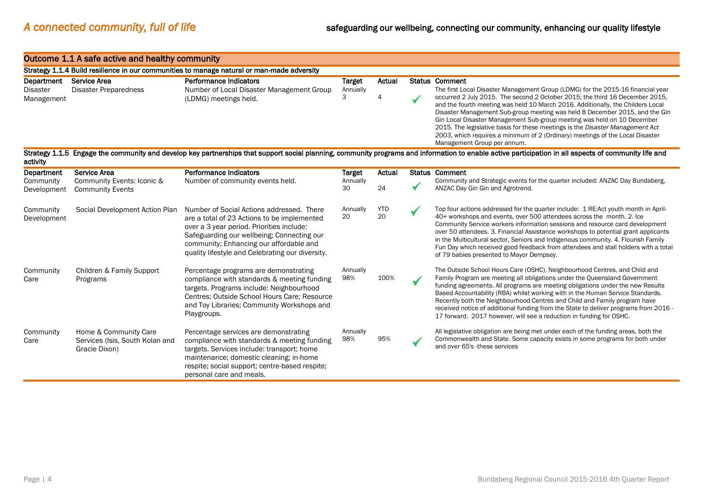#### Outcome 1.1 A safe active and healthy community

|                               | Strategy 1.1.4 Build resilience in our communities to manage natural or man-made adversity |                                                                     |                    |        |                                                                                                                                                                                                                                                                                                                                                                                                                                                                                                                            |  |  |  |  |
|-------------------------------|--------------------------------------------------------------------------------------------|---------------------------------------------------------------------|--------------------|--------|----------------------------------------------------------------------------------------------------------------------------------------------------------------------------------------------------------------------------------------------------------------------------------------------------------------------------------------------------------------------------------------------------------------------------------------------------------------------------------------------------------------------------|--|--|--|--|
| Department<br><b>Disaster</b> | Service Area<br>Disaster Preparedness                                                      | Performance Indicators<br>Number of Local Disaster Management Group | Target<br>Annually | Actual | <b>Status Comment</b><br>The first Local Disaster Management Group (LDMG) for the 2015-16 financial year                                                                                                                                                                                                                                                                                                                                                                                                                   |  |  |  |  |
| Management                    |                                                                                            | (LDMG) meetings held.                                               |                    |        | occurred 2 July 2015. The second 2 October 2015; the third 16 December 2015,<br>and the fourth meeting was held 10 March 2016. Additionally, the Childers Local<br>Disaster Management Sub-group meeting was held 8 December 2015, and the Gin<br>Gin Local Disaster Management Sub-group meeting was held on 10 December<br>2015. The legislative basis for these meetings is the Disaster Management Act<br>2003, which requires a minimum of 2 (Ordinary) meetings of the Local Disaster<br>Management Group per annum. |  |  |  |  |

Strategy 1.1.5 Engage the community and develop key partnerships that support social planning, community programs and information to enable active participation in all aspects of community life and activity

| Department<br>Community<br>Development | Service Area<br>Community Events: Iconic &<br><b>Community Events</b>     | Performance Indicators<br>Number of community events held.                                                                                                                                                                                                                         | <b>Target</b><br>Annually<br>30 | Actual<br>24     | <b>Status Comment</b><br>Community and Strategic events for the quarter included: ANZAC Day Bundaberg,<br>ANZAC Day Gin Gin and Agrotrend.                                                                                                                                                                                                                                                                                                                                                                                                                               |
|----------------------------------------|---------------------------------------------------------------------------|------------------------------------------------------------------------------------------------------------------------------------------------------------------------------------------------------------------------------------------------------------------------------------|---------------------------------|------------------|--------------------------------------------------------------------------------------------------------------------------------------------------------------------------------------------------------------------------------------------------------------------------------------------------------------------------------------------------------------------------------------------------------------------------------------------------------------------------------------------------------------------------------------------------------------------------|
| Community<br>Development               | Social Development Action Plan                                            | Number of Social Actions addressed. There<br>are a total of 23 Actions to be implemented<br>over a 3 year period. Priorities include:<br>Safeguarding our wellbeing; Connecting our<br>community; Enhancing our affordable and<br>quality lifestyle and Celebrating our diversity. | Annually<br>20                  | <b>YTD</b><br>20 | Top four actions addressed for the quarter include: 1 RE: Act youth month in April-<br>40+ workshops and events, over 500 attendees across the month. 2. Ice<br>Community Service workers information sessions and resource card development<br>over 50 attendees. 3. Financial Assistance workshops to potential grant applicants<br>in the Multicultural sector, Seniors and Indigenous community. 4. Flourish Family<br>Fun Day which received good feedback from attendees and stall holders with a total<br>of 79 babies presented to Mayor Dempsey.                |
| Community<br>Care                      | Children & Family Support<br>Programs                                     | Percentage programs are demonstrating<br>compliance with standards & meeting funding<br>targets. Programs include: Neighbourhood<br>Centres: Outside School Hours Care: Resource<br>and Toy Libraries: Community Workshops and<br>Playgroups.                                      | Annually<br>98%                 | 100%             | The Outside School Hours Care (OSHC), Neighbourhood Centres, and Child and<br>Family Program are meeting all obligations under the Queensland Government<br>funding agreements. All programs are meeting obligations under the new Results<br>Based Accountability (RBA) whilst working with in the Human Service Standards.<br>Recently both the Neighbourhood Centres and Child and Family program have<br>received notice of additional funding from the State to deliver programs from 2016 -<br>17 forward. 2017 however, will see a reduction in funding for OSHC. |
| Community<br>Care                      | Home & Community Care<br>Services (Isis, South Kolan and<br>Gracie Dixon) | Percentage services are demonstrating<br>compliance with standards & meeting funding<br>targets. Services include: transport; home<br>maintenance; domestic cleaning; in-home<br>respite; social support; centre-based respite;<br>personal care and meals.                        | Annually<br>98%                 | 95%              | All legislative obligation are being met under each of the funding areas, both the<br>Commonwealth and State. Some capacity exists in some programs for both under<br>and over 65's -these services                                                                                                                                                                                                                                                                                                                                                                      |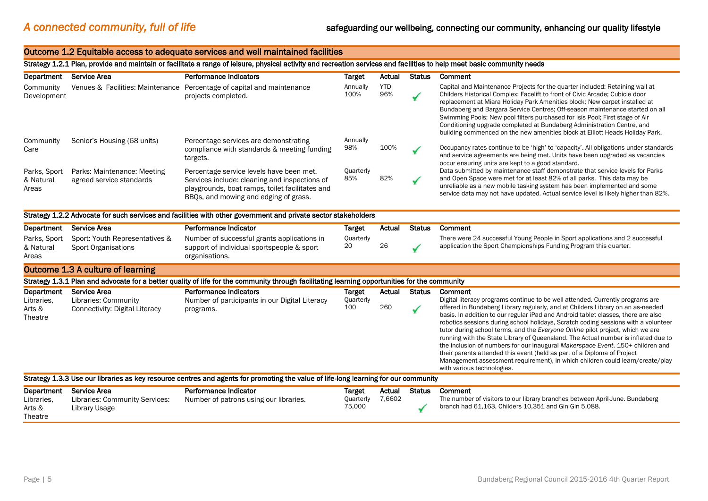#### Outcome 1.2 Equitable access to adequate services and well maintained facilities Strategy 1.2.1 Plan, provide and maintain or facilitate a range of leisure, physical activity and recreation services and facilities to help meet basic community needs Department Service Area Performance Indicators Target Actual Status Comment **Community** Development Venues & Facilities: Maintenance Percentage of capital and maintenance projects completed. Annually 100% **YTD** 96% Capital and Maintenance Projects for the quarter included: Retaining wall at Childers Historical Complex; Facelift to front of Civic Arcade; Cubicle door replacement at Miara Holiday Park Amenities block; New carpet installed at Bundaberg and Bargara Service Centres; Off-season maintenance started on all Swimming Pools; New pool filters purchased for Isis Pool; First stage of Air Conditioning upgrade completed at Bundaberg Administration Centre, and building commenced on the new amenities block at Elliott Heads Holiday Park. Community Care Senior's Housing (68 units) Percentage services are demonstrating compliance with standards & meeting funding targets. Annually 98% 100% Occupancy rates continue to be 'high' to 'capacity'. All obligations under standards and service agreements are being met. Units have been upgraded as vacancies occur ensuring units are kept to a good standard. Parks, Sport & Natural Areas Parks: Maintenance: Meeting agreed service standards Percentage service levels have been met. Services include: cleaning and inspections of playgrounds, boat ramps, toilet facilitates and BBQs, and mowing and edging of grass. **Ouarterly** 85% 82% Data submitted by maintenance staff demonstrate that service levels for Parks and Open Space were met for at least 82% of all parks. This data may be unreliable as a new mobile tasking system has been implemented and some service data may not have updated. Actual service level is likely higher than 82%. Strategy 1.2.2 Advocate for such services and facilities with other government and private sector stakeholders Department Service Area **Performance Indicator** Target Actual Status Comment Parks, Sport & Natural Areas Sport: Youth Representatives & Sport Organisations Number of successful grants applications in support of individual sportspeople & sport organisations. **Ouarterly** 20 26 There were 24 successful Young People in Sport applications and 2 successful application the Sport Championships Funding Program this quarter. Outcome 1.3 A culture of learning Strategy 1.3.1 Plan and advocate for a better quality of life for the community through facilitating learning opportunities for the community Department Service Area Performance Indicators Target Actual Status Comment Libraries, Arts & **Theatre** Libraries: Community Connectivity: Digital Literacy Number of participants in our Digital Literacy programs. **Ouarterly** 100 260 Digital literacy programs continue to be well attended. Currently programs are offered in Bundaberg Library regularly, and at Childers Library on an as-needed basis. In addition to our regular iPad and Android tablet classes, there are also robotics sessions during school holidays, Scratch coding sessions with a volunteer tutor during school terms, and the *Everyone Online* pilot project, which we are running with the State Library of Queensland. The Actual number is inflated due to the inclusion of numbers for our inaugural *Makerspace Event*. 150+ children and their parents attended this event (held as part of a Diploma of Project Management assessment requirement), in which children could learn/create/play with various technologies. Strategy 1.3.3 Use our libraries as key resource centres and agents for promoting the value of life-long learning for our community Department Service Area **Performance Indicator** Target Actual Status Comment Libraries, Arts & **Theatre** Libraries: Community Services: Library Usage Number of patrons using our libraries. **Quarterly** 75,000 7,6602 The number of visitors to our library branches between April-June. Bundaberg branch had 61,163, Childers 10,351 and Gin Gin 5,088.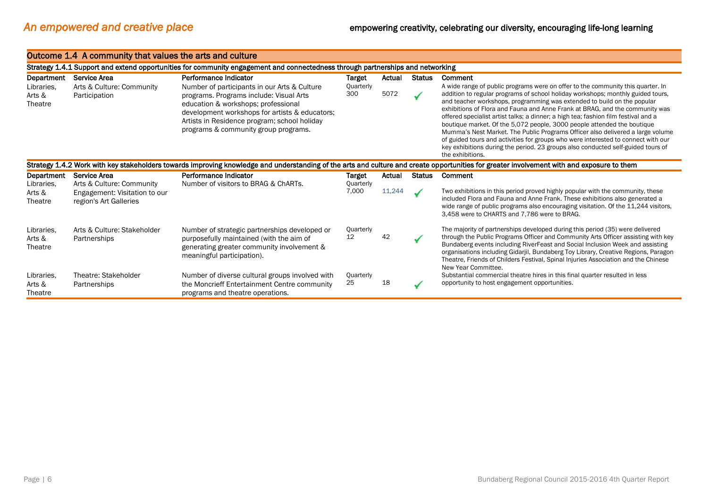|                                 | Outcome 1.4 A community that values the arts and culture                                                                                                                                   |                                                                                                                                                                                                                                                                          |                                |        |               |                                                                                                                                                                                                                                                                                                                                                                                                                                                                                                                                                                                                                                                                                                                                                                               |  |  |  |
|---------------------------------|--------------------------------------------------------------------------------------------------------------------------------------------------------------------------------------------|--------------------------------------------------------------------------------------------------------------------------------------------------------------------------------------------------------------------------------------------------------------------------|--------------------------------|--------|---------------|-------------------------------------------------------------------------------------------------------------------------------------------------------------------------------------------------------------------------------------------------------------------------------------------------------------------------------------------------------------------------------------------------------------------------------------------------------------------------------------------------------------------------------------------------------------------------------------------------------------------------------------------------------------------------------------------------------------------------------------------------------------------------------|--|--|--|
|                                 | Strategy 1.4.1 Support and extend opportunities for community engagement and connectedness through partnerships and networking                                                             |                                                                                                                                                                                                                                                                          |                                |        |               |                                                                                                                                                                                                                                                                                                                                                                                                                                                                                                                                                                                                                                                                                                                                                                               |  |  |  |
| Department                      | Service Area                                                                                                                                                                               | Performance Indicator                                                                                                                                                                                                                                                    | Target                         | Actual | <b>Status</b> | Comment                                                                                                                                                                                                                                                                                                                                                                                                                                                                                                                                                                                                                                                                                                                                                                       |  |  |  |
| Libraries.<br>Arts &<br>Theatre | Arts & Culture: Community<br>Participation                                                                                                                                                 | Number of participants in our Arts & Culture<br>programs. Programs include: Visual Arts<br>education & workshops; professional<br>development workshops for artists & educators;<br>Artists in Residence program; school holiday<br>programs & community group programs. | Quarterly<br>300               | 5072   |               | A wide range of public programs were on offer to the community this quarter. In<br>addition to regular programs of school holiday workshops; monthly guided tours,<br>and teacher workshops, programming was extended to build on the popular<br>exhibitions of Flora and Fauna and Anne Frank at BRAG, and the community was<br>offered specialist artist talks; a dinner; a high tea; fashion film festival and a<br>boutique market. Of the 5,072 people, 3000 people attended the boutique<br>Mumma's Nest Market. The Public Programs Officer also delivered a large volume<br>of guided tours and activities for groups who were interested to connect with our<br>key exhibitions during the period. 23 groups also conducted self-guided tours of<br>the exhibitions. |  |  |  |
|                                 | Strategy 1.4.2 Work with key stakeholders towards improving knowledge and understanding of the arts and culture and create opportunities for greater involvement with and exposure to them |                                                                                                                                                                                                                                                                          |                                |        |               |                                                                                                                                                                                                                                                                                                                                                                                                                                                                                                                                                                                                                                                                                                                                                                               |  |  |  |
| Department                      | Service Area                                                                                                                                                                               | Performance Indicator                                                                                                                                                                                                                                                    | Target                         | Actual | <b>Status</b> | Comment                                                                                                                                                                                                                                                                                                                                                                                                                                                                                                                                                                                                                                                                                                                                                                       |  |  |  |
| Libraries.<br>Arts &<br>Theatre | Arts & Culture: Community<br>Engagement: Visitation to our<br>region's Art Galleries                                                                                                       | Number of visitors to BRAG & ChARTs.                                                                                                                                                                                                                                     | Quarterly<br>7,000             | 11,244 |               | Two exhibitions in this period proved highly popular with the community, these<br>included Flora and Fauna and Anne Frank. These exhibitions also generated a<br>wide range of public programs also encouraging visitation. Of the 11,244 visitors,<br>3,458 were to CHARTS and 7,786 were to BRAG.                                                                                                                                                                                                                                                                                                                                                                                                                                                                           |  |  |  |
| Libraries.<br>Arts &<br>Theatre | Arts & Culture: Stakeholder<br>Partnerships                                                                                                                                                | Number of strategic partnerships developed or<br>purposefully maintained (with the aim of<br>generating greater community involvement &<br>meaningful participation).                                                                                                    | Quarterly<br>$12 \overline{ }$ | 42     |               | The majority of partnerships developed during this period (35) were delivered<br>through the Public Programs Officer and Community Arts Officer assisting with key<br>Bundaberg events including RiverFeast and Social Inclusion Week and assisting<br>organisations including Gidarjil, Bundaberg Toy Library, Creative Regions, Paragon<br>Theatre, Friends of Childers Festival, Spinal Injuries Association and the Chinese<br>New Year Committee.                                                                                                                                                                                                                                                                                                                        |  |  |  |
| Libraries.<br>Arts &<br>Theatre | Theatre: Stakeholder<br>Partnerships                                                                                                                                                       | Number of diverse cultural groups involved with<br>the Moncrieff Entertainment Centre community<br>programs and theatre operations.                                                                                                                                      | Quarterly<br>25                | 18     |               | Substantial commercial theatre hires in this final quarter resulted in less<br>opportunity to host engagement opportunities.                                                                                                                                                                                                                                                                                                                                                                                                                                                                                                                                                                                                                                                  |  |  |  |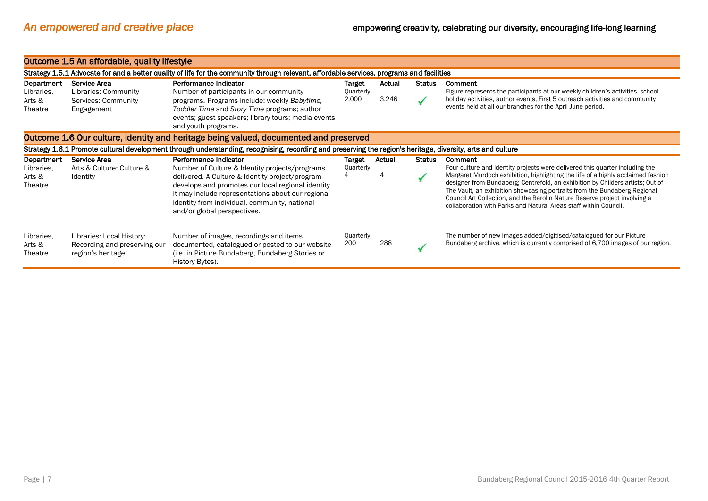|                                 | Outcome 1.5 An affordable, quality lifestyle                                                                                              |                                                                                                                                                                                                                                                                                              |                    |        |               |                                                                                                                                                                                                                                                                                                                                                                                                                                                                                   |  |  |  |
|---------------------------------|-------------------------------------------------------------------------------------------------------------------------------------------|----------------------------------------------------------------------------------------------------------------------------------------------------------------------------------------------------------------------------------------------------------------------------------------------|--------------------|--------|---------------|-----------------------------------------------------------------------------------------------------------------------------------------------------------------------------------------------------------------------------------------------------------------------------------------------------------------------------------------------------------------------------------------------------------------------------------------------------------------------------------|--|--|--|
|                                 | Strategy 1.5.1 Advocate for and a better quality of life for the community through relevant, affordable services, programs and facilities |                                                                                                                                                                                                                                                                                              |                    |        |               |                                                                                                                                                                                                                                                                                                                                                                                                                                                                                   |  |  |  |
| Department                      | Service Area                                                                                                                              | Performance Indicator                                                                                                                                                                                                                                                                        | Target             | Actual | <b>Status</b> | Comment                                                                                                                                                                                                                                                                                                                                                                                                                                                                           |  |  |  |
| Libraries,<br>Arts &<br>Theatre | Libraries: Community<br>Services: Community<br>Engagement                                                                                 | Number of participants in our community<br>programs. Programs include: weekly Babytime,<br>Toddler Time and Story Time programs; author<br>events; guest speakers; library tours; media events<br>and youth programs.                                                                        | Quarterly<br>2,000 | 3,246  |               | Figure represents the participants at our weekly children's activities, school<br>holiday activities, author events, First 5 outreach activities and community<br>events held at all our branches for the April-June period.                                                                                                                                                                                                                                                      |  |  |  |
|                                 |                                                                                                                                           | Outcome 1.6 Our culture, identity and heritage being valued, documented and preserved                                                                                                                                                                                                        |                    |        |               |                                                                                                                                                                                                                                                                                                                                                                                                                                                                                   |  |  |  |
|                                 |                                                                                                                                           | Strategy 1.6.1 Promote cultural development through understanding, recognising, recording and preserving the region's heritage, diversity, arts and culture                                                                                                                                  |                    |        |               |                                                                                                                                                                                                                                                                                                                                                                                                                                                                                   |  |  |  |
| Department                      | Service Area                                                                                                                              | Performance Indicator                                                                                                                                                                                                                                                                        | Target             | Actual | <b>Status</b> | Comment                                                                                                                                                                                                                                                                                                                                                                                                                                                                           |  |  |  |
| Libraries,<br>Arts &<br>Theatre | Arts & Culture: Culture &<br><b>Identity</b>                                                                                              | Number of Culture & Identity projects/programs<br>delivered. A Culture & Identity project/program<br>develops and promotes our local regional identity.<br>It may include representations about our regional<br>identity from individual, community, national<br>and/or global perspectives. | Quarterly          |        |               | Four culture and identity projects were delivered this quarter including the<br>Margaret Murdoch exhibition, highlighting the life of a highly acclaimed fashion<br>designer from Bundaberg; Centrefold, an exhibition by Childers artists; Out of<br>The Vault, an exhibition showcasing portraits from the Bundaberg Regional<br>Council Art Collection, and the Barolin Nature Reserve project involving a<br>collaboration with Parks and Natural Areas staff within Council. |  |  |  |
| Libraries.<br>Arts &<br>Theatre | Libraries: Local History:<br>Recording and preserving our<br>region's heritage                                                            | Number of images, recordings and items<br>documented, catalogued or posted to our website<br>(i.e. in Picture Bundaberg, Bundaberg Stories or<br>History Bytes).                                                                                                                             | Quarterly<br>200   | 288    |               | The number of new images added/digitised/catalogued for our Picture<br>Bundaberg archive, which is currently comprised of 6,700 images of our region.                                                                                                                                                                                                                                                                                                                             |  |  |  |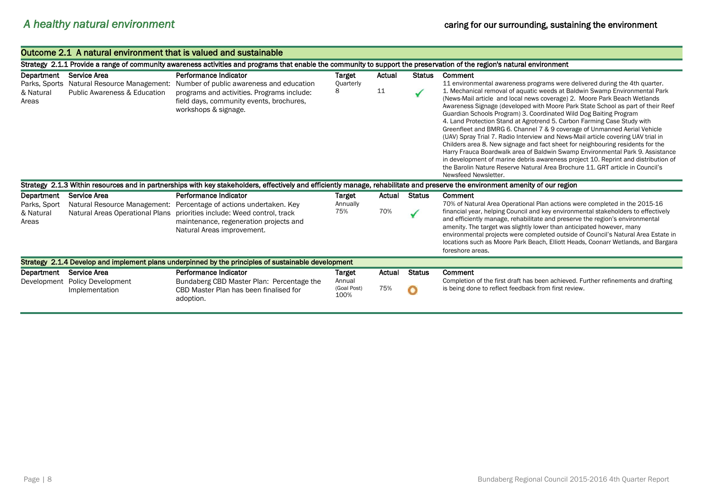|                                                   |                                                                                                                                                                         | Outcome 2.1 A natural environment that is valued and sustainable                                                                                                                    |                                         |               |                    |                                                                                                                                                                                                                                                                                                                                                                                                                                                                                                                                                                                                                                                                                                                                                                                                                                                                                                                                                                                                                     |  |  |  |  |
|---------------------------------------------------|-------------------------------------------------------------------------------------------------------------------------------------------------------------------------|-------------------------------------------------------------------------------------------------------------------------------------------------------------------------------------|-----------------------------------------|---------------|--------------------|---------------------------------------------------------------------------------------------------------------------------------------------------------------------------------------------------------------------------------------------------------------------------------------------------------------------------------------------------------------------------------------------------------------------------------------------------------------------------------------------------------------------------------------------------------------------------------------------------------------------------------------------------------------------------------------------------------------------------------------------------------------------------------------------------------------------------------------------------------------------------------------------------------------------------------------------------------------------------------------------------------------------|--|--|--|--|
|                                                   | Strategy 2.1.1 Provide a range of community awareness activities and programs that enable the community to support the preservation of the region's natural environment |                                                                                                                                                                                     |                                         |               |                    |                                                                                                                                                                                                                                                                                                                                                                                                                                                                                                                                                                                                                                                                                                                                                                                                                                                                                                                                                                                                                     |  |  |  |  |
| Department<br>Parks, Sports<br>& Natural<br>Areas | <b>Service Area</b><br>Natural Resource Management:<br><b>Public Awareness &amp; Education</b>                                                                          | Performance Indicator<br>Number of public awareness and education<br>programs and activities. Programs include:<br>field days, community events, brochures,<br>workshops & signage. | Target<br>Quarterly<br>8                | Actual<br>11  | <b>Status</b>      | Comment<br>11 environmental awareness programs were delivered during the 4th quarter.<br>1. Mechanical removal of aquatic weeds at Baldwin Swamp Environmental Park<br>(News-Mail article and local news coverage) 2. Moore Park Beach Wetlands<br>Awareness Signage (developed with Moore Park State School as part of their Reef<br>Guardian Schools Program) 3. Coordinated Wild Dog Baiting Program<br>4. Land Protection Stand at Agrotrend 5. Carbon Farming Case Study with<br>Greenfleet and BMRG 6. Channel 7 & 9 coverage of Unmanned Aerial Vehicle<br>(UAV) Spray Trial 7. Radio Interview and News-Mail article covering UAV trial in<br>Childers area 8. New signage and fact sheet for neighbouring residents for the<br>Harry Frauca Boardwalk area of Baldwin Swamp Environmental Park 9. Assistance<br>in development of marine debris awareness project 10. Reprint and distribution of<br>the Barolin Nature Reserve Natural Area Brochure 11, GRT article in Council's<br>Newsfeed Newsletter. |  |  |  |  |
|                                                   |                                                                                                                                                                         | Strategy 2.1.3 Within resources and in partnerships with key stakeholders, effectively and efficiently manage, rehabilitate and preserve the environment amenity of our region      |                                         |               |                    |                                                                                                                                                                                                                                                                                                                                                                                                                                                                                                                                                                                                                                                                                                                                                                                                                                                                                                                                                                                                                     |  |  |  |  |
| Department                                        | <b>Service Area</b>                                                                                                                                                     | Performance Indicator                                                                                                                                                               | Target                                  | Actual        | Status             | Comment                                                                                                                                                                                                                                                                                                                                                                                                                                                                                                                                                                                                                                                                                                                                                                                                                                                                                                                                                                                                             |  |  |  |  |
| Parks, Sport<br>& Natural<br>Areas                | Natural Resource Management:<br>Natural Areas Operational Plans                                                                                                         | Percentage of actions undertaken. Key<br>priorities include: Weed control, track<br>maintenance, regeneration projects and<br>Natural Areas improvement.                            | Annually<br>75%                         | 70%           | ✓                  | 70% of Natural Area Operational Plan actions were completed in the 2015-16<br>financial year, helping Council and key environmental stakeholders to effectively<br>and efficiently manage, rehabilitate and preserve the region's environmental<br>amenity. The target was slightly lower than anticipated however, many<br>environmental projects were completed outside of Council's Natural Area Estate in<br>locations such as Moore Park Beach, Elliott Heads, Coonarr Wetlands, and Bargara<br>foreshore areas.                                                                                                                                                                                                                                                                                                                                                                                                                                                                                               |  |  |  |  |
|                                                   |                                                                                                                                                                         | Strategy 2.1.4 Develop and implement plans underpinned by the principles of sustainable development                                                                                 |                                         |               |                    |                                                                                                                                                                                                                                                                                                                                                                                                                                                                                                                                                                                                                                                                                                                                                                                                                                                                                                                                                                                                                     |  |  |  |  |
| Department<br>Development                         | Service Area<br><b>Policy Development</b><br>Implementation                                                                                                             | Performance Indicator<br>Bundaberg CBD Master Plan: Percentage the<br>CBD Master Plan has been finalised for<br>adoption.                                                           | Target<br>Annual<br>(Goal Post)<br>100% | Actual<br>75% | <b>Status</b><br>۰ | Comment<br>Completion of the first draft has been achieved. Further refinements and drafting<br>is being done to reflect feedback from first review.                                                                                                                                                                                                                                                                                                                                                                                                                                                                                                                                                                                                                                                                                                                                                                                                                                                                |  |  |  |  |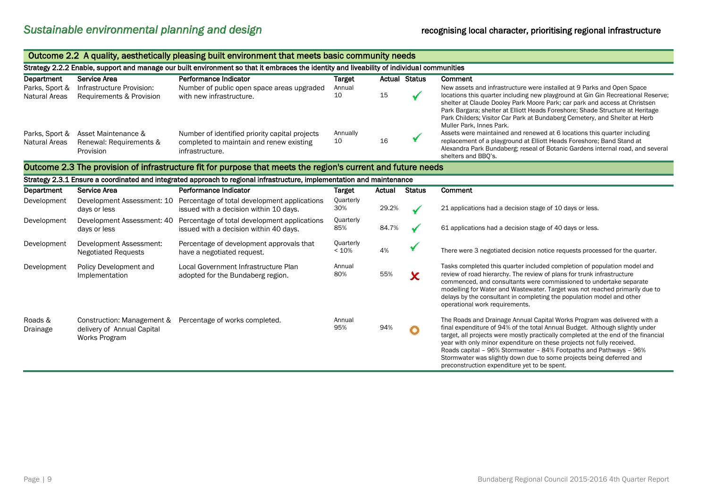| Outcome 2.2 A quality, aesthetically pleasing built environment that meets basic community needs |                                                             |                                                                                                                                            |                         |        |                      |                                                                                                                                                                                                                                                                                                                                                                                                                                                                                                                       |  |
|--------------------------------------------------------------------------------------------------|-------------------------------------------------------------|--------------------------------------------------------------------------------------------------------------------------------------------|-------------------------|--------|----------------------|-----------------------------------------------------------------------------------------------------------------------------------------------------------------------------------------------------------------------------------------------------------------------------------------------------------------------------------------------------------------------------------------------------------------------------------------------------------------------------------------------------------------------|--|
|                                                                                                  |                                                             | Strategy 2.2.2 Enable, support and manage our built environment so that it embraces the identity and liveability of individual communities |                         |        |                      |                                                                                                                                                                                                                                                                                                                                                                                                                                                                                                                       |  |
| Department                                                                                       | Service Area                                                | Performance Indicator                                                                                                                      | <b>Target</b>           |        | <b>Actual Status</b> | Comment                                                                                                                                                                                                                                                                                                                                                                                                                                                                                                               |  |
| Parks, Sport &<br>Natural Areas                                                                  | Infrastructure Provision:<br>Requirements & Provision       | Number of public open space areas upgraded<br>with new infrastructure.                                                                     | Annual<br>10            | 15     |                      | New assets and infrastructure were installed at 9 Parks and Open Space<br>locations this quarter including new playground at Gin Gin Recreational Reserve;<br>shelter at Claude Dooley Park Moore Park; car park and access at Christsen<br>Park Bargara; shelter at Elliott Heads Foreshore; Shade Structure at Heritage<br>Park Childers; Visitor Car Park at Bundaberg Cemetery, and Shelter at Herb                                                                                                               |  |
| Parks, Sport &<br>Natural Areas                                                                  | Asset Maintenance &<br>Renewal: Requirements &<br>Provision | Number of identified priority capital projects<br>completed to maintain and renew existing<br>infrastructure.                              | Annually<br>10          | 16     |                      | Muller Park, Innes Park.<br>Assets were maintained and renewed at 6 locations this quarter including<br>replacement of a playground at Elliott Heads Foreshore; Band Stand at<br>Alexandra Park Bundaberg; reseal of Botanic Gardens internal road, and several<br>shelters and BBQ's.                                                                                                                                                                                                                                |  |
|                                                                                                  |                                                             | Outcome 2.3 The provision of infrastructure fit for purpose that meets the region's current and future needs                               |                         |        |                      |                                                                                                                                                                                                                                                                                                                                                                                                                                                                                                                       |  |
|                                                                                                  |                                                             | Strategy 2.3.1 Ensure a coordinated and integrated approach to regional infrastructure, implementation and maintenance                     |                         |        |                      |                                                                                                                                                                                                                                                                                                                                                                                                                                                                                                                       |  |
| Department                                                                                       | Service Area                                                | Performance Indicator                                                                                                                      | <b>Target</b>           | Actual | <b>Status</b>        | Comment                                                                                                                                                                                                                                                                                                                                                                                                                                                                                                               |  |
| Development                                                                                      | days or less                                                | Development Assessment: 10 Percentage of total development applications<br>issued with a decision within 10 days.                          | <b>Quarterly</b><br>30% | 29.2%  |                      | 21 applications had a decision stage of 10 days or less.                                                                                                                                                                                                                                                                                                                                                                                                                                                              |  |
| Development                                                                                      | days or less                                                | Development Assessment: 40 Percentage of total development applications<br>issued with a decision within 40 days.                          | Quarterly<br>85%        | 84.7%  |                      | 61 applications had a decision stage of 40 days or less.                                                                                                                                                                                                                                                                                                                                                                                                                                                              |  |
| Development                                                                                      | Development Assessment:<br><b>Negotiated Requests</b>       | Percentage of development approvals that<br>have a negotiated request.                                                                     | Quarterly<br>< 10%      | 4%     |                      | There were 3 negotiated decision notice requests processed for the quarter.                                                                                                                                                                                                                                                                                                                                                                                                                                           |  |
| Development                                                                                      | Policy Development and<br>Implementation                    | Local Government Infrastructure Plan<br>adopted for the Bundaberg region.                                                                  | Annual<br>80%           | 55%    | x                    | Tasks completed this quarter included completion of population model and<br>review of road hierarchy. The review of plans for trunk infrastructure<br>commenced, and consultants were commissioned to undertake separate<br>modelling for Water and Wastewater. Target was not reached primarily due to<br>delays by the consultant in completing the population model and other<br>operational work requirements.                                                                                                    |  |
| Roads &<br>Drainage                                                                              | delivery of Annual Capital<br>Works Program                 | Construction: Management & Percentage of works completed.                                                                                  | Annual<br>95%           | 94%    | ۰                    | The Roads and Drainage Annual Capital Works Program was delivered with a<br>final expenditure of 94% of the total Annual Budget. Although slightly under<br>target, all projects were mostly practically completed at the end of the financial<br>year with only minor expenditure on these projects not fully received.<br>Roads capital - 96% Stormwater - 84% Footpaths and Pathways - 96%<br>Stormwater was slightly down due to some projects being deferred and<br>preconstruction expenditure yet to be spent. |  |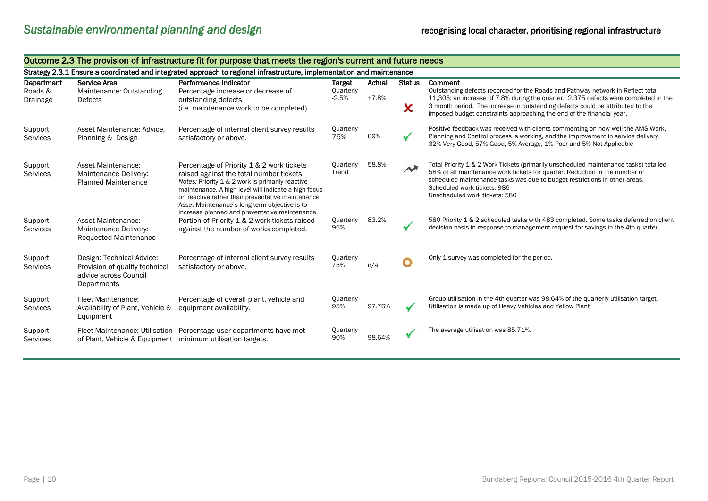|                                   | outcome zio me provision or inhastracture neror parpose that meets the region s carrent and ruture necus |                                                                                                                                                                                                                                                                                                                                                           |                                       |                   |                    |                                                                                                                                                                                                                                                                                                                                              |  |
|-----------------------------------|----------------------------------------------------------------------------------------------------------|-----------------------------------------------------------------------------------------------------------------------------------------------------------------------------------------------------------------------------------------------------------------------------------------------------------------------------------------------------------|---------------------------------------|-------------------|--------------------|----------------------------------------------------------------------------------------------------------------------------------------------------------------------------------------------------------------------------------------------------------------------------------------------------------------------------------------------|--|
|                                   |                                                                                                          | Strategy 2.3.1 Ensure a coordinated and integrated approach to regional infrastructure, implementation and maintenance                                                                                                                                                                                                                                    |                                       |                   |                    |                                                                                                                                                                                                                                                                                                                                              |  |
| Department<br>Roads &<br>Drainage | Service Area<br>Maintenance: Outstanding<br>Defects                                                      | Performance Indicator<br>Percentage increase or decrease of<br>outstanding defects<br>(i.e. maintenance work to be completed).                                                                                                                                                                                                                            | <b>Target</b><br>Quarterly<br>$-2.5%$ | Actual<br>$+7.8%$ | <b>Status</b><br>X | Comment<br>Outstanding defects recorded for the Roads and Pathway network in Reflect total<br>11,305; an increase of 7.8% during the quarter. 2,375 defects were completed in the<br>3 month period. The increase in outstanding defects could be attributed to the<br>imposed budget constraints approaching the end of the financial year. |  |
| Support<br><b>Services</b>        | Asset Maintenance: Advice.<br>Planning & Design                                                          | Percentage of internal client survey results<br>satisfactory or above.                                                                                                                                                                                                                                                                                    | Quarterly<br>75%                      | 89%               | $\checkmark$       | Positive feedback was received with clients commenting on how well the AMS Work,<br>Planning and Control process is working, and the improvement in service delivery.<br>32% Very Good, 57% Good, 5% Average, 1% Poor and 5% Not Applicable                                                                                                  |  |
| Support<br><b>Services</b>        | <b>Asset Maintenance:</b><br>Maintenance Delivery:<br><b>Planned Maintenance</b>                         | Percentage of Priority 1 & 2 work tickets<br>raised against the total number tickets.<br>Notes: Priority 1 & 2 work is primarily reactive<br>maintenance. A high level will indicate a high focus<br>on reactive rather than preventative maintenance.<br>Asset Maintenance's long-term objective is to<br>increase planned and preventative maintenance. | Quarterly<br>Trend                    | 58.8%             | $\rightarrow$      | Total Priority 1 & 2 Work Tickets (primarily unscheduled maintenance tasks) totalled<br>58% of all maintenance work tickets for quarter. Reduction in the number of<br>scheduled maintenance tasks was due to budget restrictions in other areas.<br>Scheduled work tickets: 986<br>Unscheduled work tickets: 580                            |  |
| Support<br>Services               | Asset Maintenance:<br>Maintenance Delivery:<br><b>Requested Maintenance</b>                              | Portion of Priority 1 & 2 work tickets raised<br>against the number of works completed.                                                                                                                                                                                                                                                                   | Quarterly<br>95%                      | 83.2%             | $\checkmark$       | 580 Priority 1 & 2 scheduled tasks with 483 completed. Some tasks deferred on client<br>decision basis in response to management request for savings in the 4th quarter.                                                                                                                                                                     |  |
| Support<br><b>Services</b>        | Design: Technical Advice:<br>Provision of quality technical<br>advice across Council<br>Departments      | Percentage of internal client survey results<br>satisfactory or above.                                                                                                                                                                                                                                                                                    | Quarterly<br>75%                      | n/a               | O                  | Only 1 survey was completed for the period.                                                                                                                                                                                                                                                                                                  |  |
| Support<br>Services               | Fleet Maintenance:<br>Availability of Plant, Vehicle &<br>Equipment                                      | Percentage of overall plant, vehicle and<br>equipment availability.                                                                                                                                                                                                                                                                                       | Quarterly<br>95%                      | 97.76%            |                    | Group utilisation in the 4th quarter was 98.64% of the quarterly utilisation target.<br>Utilisation is made up of Heavy Vehicles and Yellow Plant                                                                                                                                                                                            |  |
| Support<br>Services               | Fleet Maintenance: Utilisation<br>of Plant, Vehicle & Equipment                                          | Percentage user departments have met<br>minimum utilisation targets.                                                                                                                                                                                                                                                                                      | Quarterly<br>90%                      | 98.64%            |                    | The average utilisation was 85.71%.                                                                                                                                                                                                                                                                                                          |  |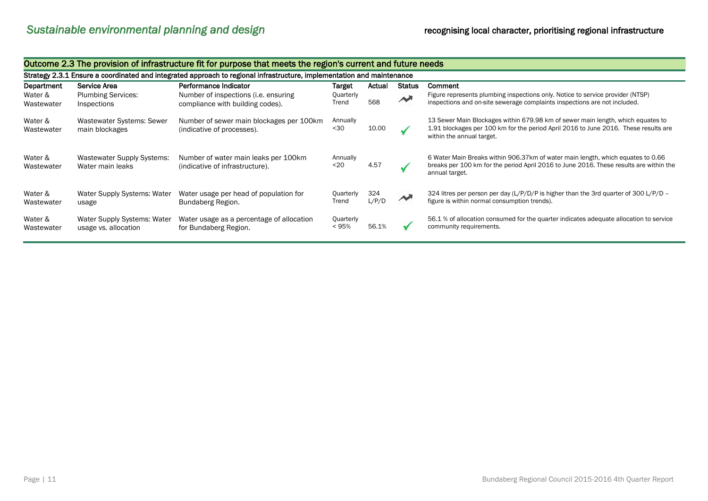|                       | Outcome 2.3 The provision of infrastructure fit for purpose that meets the region's current and future needs           |                                                                          |                    |              |                        |                                                                                                                                                                                                     |  |  |  |
|-----------------------|------------------------------------------------------------------------------------------------------------------------|--------------------------------------------------------------------------|--------------------|--------------|------------------------|-----------------------------------------------------------------------------------------------------------------------------------------------------------------------------------------------------|--|--|--|
|                       | Strategy 2.3.1 Ensure a coordinated and integrated approach to regional infrastructure, implementation and maintenance |                                                                          |                    |              |                        |                                                                                                                                                                                                     |  |  |  |
| Department            | Service Area                                                                                                           | Performance Indicator                                                    | <b>Target</b>      | Actual       | <b>Status</b>          | Comment                                                                                                                                                                                             |  |  |  |
| Water &<br>Wastewater | <b>Plumbing Services:</b><br>Inspections                                                                               | Number of inspections (i.e. ensuring<br>compliance with building codes). | Quarterly<br>Trend | 568          | $\rightarrow$          | Figure represents plumbing inspections only. Notice to service provider (NTSP)<br>inspections and on-site sewerage complaints inspections are not included.                                         |  |  |  |
| Water &<br>Wastewater | <b>Wastewater Systems: Sewer</b><br>main blockages                                                                     | Number of sewer main blockages per 100km<br>(indicative of processes).   | Annually<br>$30$   | 10.00        |                        | 13 Sewer Main Blockages within 679.98 km of sewer main length, which equates to<br>1.91 blockages per 100 km for the period April 2016 to June 2016. These results are<br>within the annual target. |  |  |  |
| Water &<br>Wastewater | Wastewater Supply Systems:<br>Water main leaks                                                                         | Number of water main leaks per 100km<br>(indicative of infrastructure).  | Annually<br>$20$   | 4.57         |                        | 6 Water Main Breaks within 906.37km of water main length, which equates to 0.66<br>breaks per 100 km for the period April 2016 to June 2016. These results are within the<br>annual target.         |  |  |  |
| Water &<br>Wastewater | Water Supply Systems: Water<br>usage                                                                                   | Water usage per head of population for<br>Bundaberg Region.              | Quarterly<br>Trend | 324<br>L/P/D | $\boldsymbol{\lambda}$ | 324 litres per person per day (L/P/D/P is higher than the 3rd quarter of 300 L/P/D –<br>figure is within normal consumption trends).                                                                |  |  |  |
| Water &<br>Wastewater | Water Supply Systems: Water<br>usage vs. allocation                                                                    | Water usage as a percentage of allocation<br>for Bundaberg Region.       | Quarterly<br>< 95% | 56.1%        |                        | 56.1 % of allocation consumed for the quarter indicates adequate allocation to service<br>community requirements.                                                                                   |  |  |  |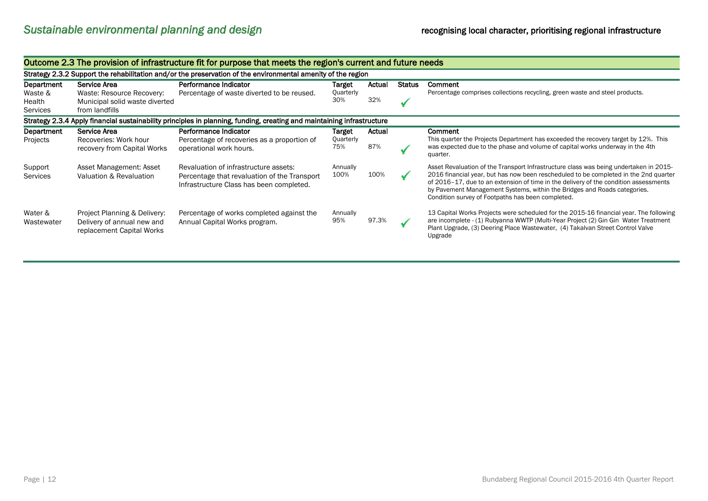| Outcome 2.3 The provision of infrastructure fit for purpose that meets the region's current and future needs |                                                                                               |                                                                                                                                   |                            |               |               |                                                                                                                                                                                                                                                                                                                                                                                                        |  |  |
|--------------------------------------------------------------------------------------------------------------|-----------------------------------------------------------------------------------------------|-----------------------------------------------------------------------------------------------------------------------------------|----------------------------|---------------|---------------|--------------------------------------------------------------------------------------------------------------------------------------------------------------------------------------------------------------------------------------------------------------------------------------------------------------------------------------------------------------------------------------------------------|--|--|
| Strategy 2.3.2 Support the rehabilitation and/or the preservation of the environmental amenity of the region |                                                                                               |                                                                                                                                   |                            |               |               |                                                                                                                                                                                                                                                                                                                                                                                                        |  |  |
| Department<br>Waste &<br>Health<br>Services                                                                  | Service Area<br>Waste: Resource Recovery:<br>Municipal solid waste diverted<br>from landfills | Performance Indicator<br>Percentage of waste diverted to be reused.                                                               | Target<br>Quarterly<br>30% | Actual<br>32% | <b>Status</b> | Comment<br>Percentage comprises collections recycling, green waste and steel products.                                                                                                                                                                                                                                                                                                                 |  |  |
|                                                                                                              |                                                                                               | Strategy 2.3.4 Apply financial sustainability principles in planning, funding, creating and maintaining infrastructure            |                            |               |               |                                                                                                                                                                                                                                                                                                                                                                                                        |  |  |
| Department<br>Projects                                                                                       | Service Area<br>Recoveries: Work hour<br>recovery from Capital Works                          | Performance Indicator<br>Percentage of recoveries as a proportion of<br>operational work hours.                                   | Target<br>Quarterly<br>75% | Actual<br>87% |               | Comment<br>This quarter the Projects Department has exceeded the recovery target by 12%. This<br>was expected due to the phase and volume of capital works underway in the 4th<br>quarter.                                                                                                                                                                                                             |  |  |
| Support<br><b>Services</b>                                                                                   | Asset Management: Asset<br>Valuation & Revaluation                                            | Revaluation of infrastructure assets:<br>Percentage that revaluation of the Transport<br>Infrastructure Class has been completed. | Annually<br>100%           | 100%          |               | Asset Revaluation of the Transport Infrastructure class was being undertaken in 2015-<br>2016 financial year, but has now been rescheduled to be completed in the 2nd quarter<br>of 2016-17, due to an extension of time in the delivery of the condition assessments<br>by Pavement Management Systems, within the Bridges and Roads categories.<br>Condition survey of Footpaths has been completed. |  |  |
| Water &<br>Wastewater                                                                                        | Project Planning & Delivery:<br>Delivery of annual new and<br>replacement Capital Works       | Percentage of works completed against the<br>Annual Capital Works program.                                                        | Annually<br>95%            | 97.3%         |               | 13 Capital Works Projects were scheduled for the 2015-16 financial year. The following<br>are incomplete - (1) Rubyanna WWTP (Multi-Year Project (2) Gin Gin Water Treatment<br>Plant Upgrade, (3) Deering Place Wastewater, (4) Takalvan Street Control Valve<br>Upgrade                                                                                                                              |  |  |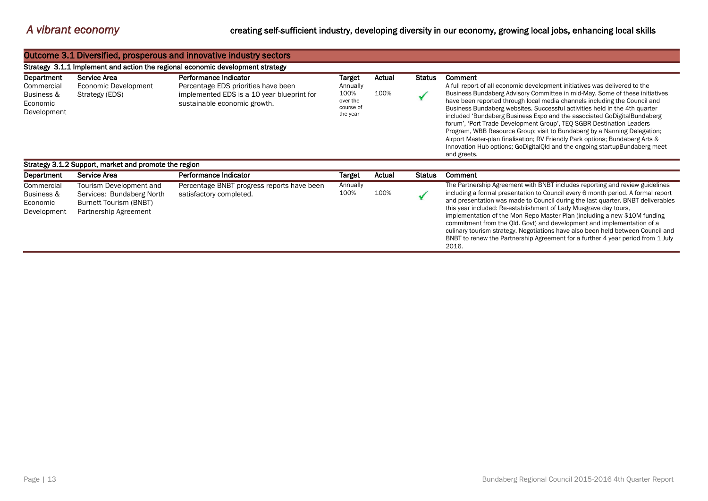|                                                                   | Outcome 3.1 Diversified, prosperous and innovative industry sectors                                     |                                                                                                                                            |                                                                 |                |               |                                                                                                                                                                                                                                                                                                                                                                                                                                                                                                                                                                                                                                                                                                                                                    |  |  |  |  |  |
|-------------------------------------------------------------------|---------------------------------------------------------------------------------------------------------|--------------------------------------------------------------------------------------------------------------------------------------------|-----------------------------------------------------------------|----------------|---------------|----------------------------------------------------------------------------------------------------------------------------------------------------------------------------------------------------------------------------------------------------------------------------------------------------------------------------------------------------------------------------------------------------------------------------------------------------------------------------------------------------------------------------------------------------------------------------------------------------------------------------------------------------------------------------------------------------------------------------------------------------|--|--|--|--|--|
|                                                                   | Strategy 3.1.1 Implement and action the regional economic development strategy                          |                                                                                                                                            |                                                                 |                |               |                                                                                                                                                                                                                                                                                                                                                                                                                                                                                                                                                                                                                                                                                                                                                    |  |  |  |  |  |
| Department<br>Commercial<br>Business &<br>Economic<br>Development | Service Area<br>Economic Development<br>Strategy (EDS)                                                  | Performance Indicator<br>Percentage EDS priorities have been<br>implemented EDS is a 10 year blueprint for<br>sustainable economic growth. | Target<br>Annually<br>100%<br>over the<br>course of<br>the year | Actual<br>100% | <b>Status</b> | <b>Comment</b><br>A full report of all economic development initiatives was delivered to the<br>Business Bundaberg Advisory Committee in mid-May. Some of these initiatives<br>have been reported through local media channels including the Council and<br>Business Bundaberg websites. Successful activities held in the 4th quarter<br>included 'Bundaberg Business Expo and the associated GoDigitalBundaberg<br>forum', 'Port Trade Development Group', TEQ SGBR Destination Leaders<br>Program, WBB Resource Group; visit to Bundaberg by a Nanning Delegation;<br>Airport Master-plan finalisation; RV Friendly Park options; Bundaberg Arts &<br>Innovation Hub options; GoDigitalQld and the ongoing startupBundaberg meet<br>and greets. |  |  |  |  |  |
|                                                                   | Strategy 3.1.2 Support, market and promote the region                                                   |                                                                                                                                            |                                                                 |                |               |                                                                                                                                                                                                                                                                                                                                                                                                                                                                                                                                                                                                                                                                                                                                                    |  |  |  |  |  |
| Department                                                        | Service Area                                                                                            | Performance Indicator                                                                                                                      | <b>Target</b>                                                   | Actual         | Status        | Comment                                                                                                                                                                                                                                                                                                                                                                                                                                                                                                                                                                                                                                                                                                                                            |  |  |  |  |  |
| Commercial<br>Business &<br>Economic<br>Development               | Tourism Development and<br>Services: Bundaberg North<br>Burnett Tourism (BNBT)<br>Partnership Agreement | Percentage BNBT progress reports have been<br>satisfactory completed.                                                                      | Annually<br>100%                                                | 100%           |               | The Partnership Agreement with BNBT includes reporting and review guidelines<br>including a formal presentation to Council every 6 month period. A formal report<br>and presentation was made to Council during the last quarter. BNBT deliverables<br>this year included: Re-establishment of Lady Musgrave day tours,<br>implementation of the Mon Repo Master Plan (including a new \$10M funding<br>commitment from the Qld. Govt) and development and implementation of a<br>culinary tourism strategy. Negotiations have also been held between Council and<br>BNBT to renew the Partnership Agreement for a further 4 year period from 1 July<br>2016.                                                                                      |  |  |  |  |  |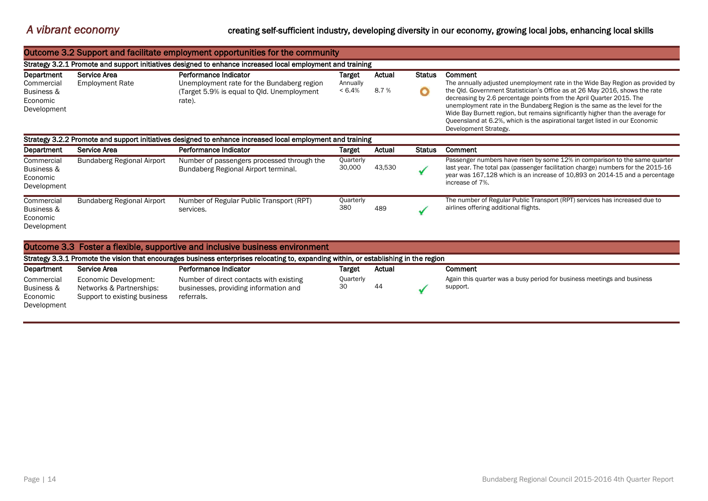### *A vibrant economy* creating self-sufficient industry, developing diversity in our economy, growing local jobs, enhancing local skills

|                                                                                                            | Outcome 3.2 Support and facilitate employment opportunities for the community                              |                                                                                                                                       |                                 |                |                    |                                                                                                                                                                                                                                                                                                                                                                                                                                                                                                                         |  |  |  |
|------------------------------------------------------------------------------------------------------------|------------------------------------------------------------------------------------------------------------|---------------------------------------------------------------------------------------------------------------------------------------|---------------------------------|----------------|--------------------|-------------------------------------------------------------------------------------------------------------------------------------------------------------------------------------------------------------------------------------------------------------------------------------------------------------------------------------------------------------------------------------------------------------------------------------------------------------------------------------------------------------------------|--|--|--|
| Strategy 3.2.1 Promote and support initiatives designed to enhance increased local employment and training |                                                                                                            |                                                                                                                                       |                                 |                |                    |                                                                                                                                                                                                                                                                                                                                                                                                                                                                                                                         |  |  |  |
| Department<br>Commercial<br>Business &<br>Economic<br>Development                                          | Service Area<br><b>Employment Rate</b>                                                                     | Performance Indicator<br>Unemployment rate for the Bundaberg region<br>(Target 5.9% is equal to Qld. Unemployment<br>rate).           | Target<br>Annually<br>$< 6.4\%$ | Actual<br>8.7% | <b>Status</b><br>O | Comment<br>The annually adjusted unemployment rate in the Wide Bay Region as provided by<br>the Qld. Government Statistician's Office as at 26 May 2016, shows the rate<br>decreasing by 2.6 percentage points from the April Quarter 2015. The<br>unemployment rate in the Bundaberg Region is the same as the level for the<br>Wide Bay Burnett region, but remains significantly higher than the average for<br>Queensland at 6.2%, which is the aspirational target listed in our Economic<br>Development Strategy. |  |  |  |
|                                                                                                            | Strategy 3.2.2 Promote and support initiatives designed to enhance increased local employment and training |                                                                                                                                       |                                 |                |                    |                                                                                                                                                                                                                                                                                                                                                                                                                                                                                                                         |  |  |  |
| Department                                                                                                 | Service Area                                                                                               | Performance Indicator                                                                                                                 | Target                          | Actual         | <b>Status</b>      | Comment                                                                                                                                                                                                                                                                                                                                                                                                                                                                                                                 |  |  |  |
| Commercial<br>Business &<br>Economic<br>Development                                                        | Bundaberg Regional Airport                                                                                 | Number of passengers processed through the<br>Bundaberg Regional Airport terminal.                                                    | Quarterly<br>30,000             | 43,530         |                    | Passenger numbers have risen by some 12% in comparison to the same quarter<br>last year. The total pax (passenger facilitation charge) numbers for the 2015-16<br>year was 167,128 which is an increase of 10,893 on 2014-15 and a percentage<br>increase of 7%.                                                                                                                                                                                                                                                        |  |  |  |
| Commercial<br><b>Business &amp;</b><br>Economic<br>Development                                             | <b>Bundaberg Regional Airport</b>                                                                          | Number of Regular Public Transport (RPT)<br>services.                                                                                 | Quarterly<br>380                | 489            |                    | The number of Regular Public Transport (RPT) services has increased due to<br>airlines offering additional flights.                                                                                                                                                                                                                                                                                                                                                                                                     |  |  |  |
|                                                                                                            |                                                                                                            | Outcome 3.3 Foster a flexible, supportive and inclusive business environment                                                          |                                 |                |                    |                                                                                                                                                                                                                                                                                                                                                                                                                                                                                                                         |  |  |  |
|                                                                                                            |                                                                                                            | Strategy 3.3.1 Promote the vision that encourages business enterprises relocating to, expanding within, or establishing in the region |                                 |                |                    |                                                                                                                                                                                                                                                                                                                                                                                                                                                                                                                         |  |  |  |
| Department                                                                                                 | Service Area                                                                                               | Performance Indicator                                                                                                                 | Target                          | Actual         |                    | Comment                                                                                                                                                                                                                                                                                                                                                                                                                                                                                                                 |  |  |  |
| Commercial<br>Business &                                                                                   | Economic Development:<br>Networks & Partnerships:                                                          | Number of direct contacts with existing<br>businesses, providing information and                                                      | Quarterly<br>30                 | 44             |                    | Again this quarter was a busy period for business meetings and business<br>support.                                                                                                                                                                                                                                                                                                                                                                                                                                     |  |  |  |

Economic Development Support to existing business referrals.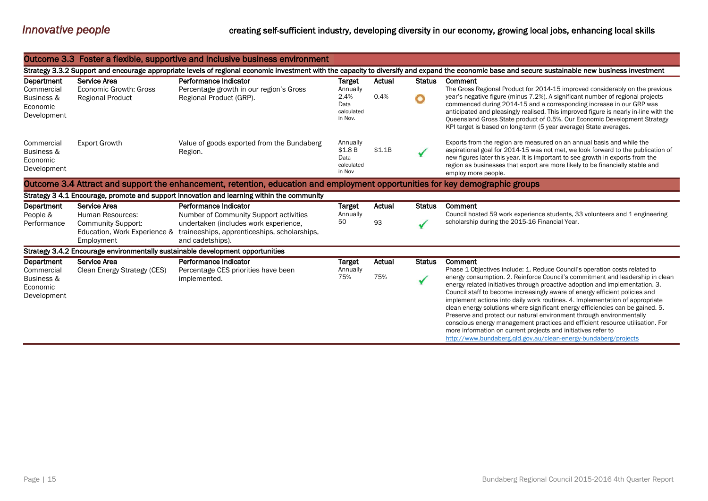|                                                                                                                               |                                                                                                                                                                                                    | Outcome 3.3 Foster a flexible, supportive and inclusive business environment                              |                                                    |        |               |                                                                                                                                                                                                                                                                                                                                                                                                                                                                                                                                                                                                                                                                                                             |  |  |  |
|-------------------------------------------------------------------------------------------------------------------------------|----------------------------------------------------------------------------------------------------------------------------------------------------------------------------------------------------|-----------------------------------------------------------------------------------------------------------|----------------------------------------------------|--------|---------------|-------------------------------------------------------------------------------------------------------------------------------------------------------------------------------------------------------------------------------------------------------------------------------------------------------------------------------------------------------------------------------------------------------------------------------------------------------------------------------------------------------------------------------------------------------------------------------------------------------------------------------------------------------------------------------------------------------------|--|--|--|
|                                                                                                                               | Strategy 3.3.2 Support and encourage appropriate levels of regional economic investment with the capacity to diversify and expand the economic base and secure sustainable new business investment |                                                                                                           |                                                    |        |               |                                                                                                                                                                                                                                                                                                                                                                                                                                                                                                                                                                                                                                                                                                             |  |  |  |
| Department                                                                                                                    | Service Area                                                                                                                                                                                       | Performance Indicator                                                                                     | <b>Target</b>                                      | Actual | <b>Status</b> | Comment                                                                                                                                                                                                                                                                                                                                                                                                                                                                                                                                                                                                                                                                                                     |  |  |  |
| Commercial<br>Business &<br>Economic<br>Development                                                                           | Economic Growth: Gross<br><b>Regional Product</b>                                                                                                                                                  | Percentage growth in our region's Gross<br>Regional Product (GRP).                                        | Annually<br>2.4%<br>Data<br>calculated<br>in Nov.  | 0.4%   | O             | The Gross Regional Product for 2014-15 improved considerably on the previous<br>year's negative figure (minus 7.2%). A significant number of regional projects<br>commenced during 2014-15 and a corresponding increase in our GRP was<br>anticipated and pleasingly realised. This improved figure is nearly in-line with the<br>Queensland Gross State product of 0.5%. Our Economic Development Strategy<br>KPI target is based on long-term (5 year average) State averages.                                                                                                                                                                                                                            |  |  |  |
| Commercial<br>Business &<br>Economic<br>Development                                                                           | <b>Export Growth</b>                                                                                                                                                                               | Value of goods exported from the Bundaberg<br>Region.                                                     | Annually<br>\$1.8B<br>Data<br>calculated<br>in Nov | \$1.1B |               | Exports from the region are measured on an annual basis and while the<br>aspirational goal for 2014-15 was not met, we look forward to the publication of<br>new figures later this year. It is important to see growth in exports from the<br>region as businesses that export are more likely to be financially stable and<br>employ more people.                                                                                                                                                                                                                                                                                                                                                         |  |  |  |
| Outcome 3.4 Attract and support the enhancement, retention, education and employment opportunities for key demographic groups |                                                                                                                                                                                                    |                                                                                                           |                                                    |        |               |                                                                                                                                                                                                                                                                                                                                                                                                                                                                                                                                                                                                                                                                                                             |  |  |  |
|                                                                                                                               |                                                                                                                                                                                                    | Strategy 3 4.1 Encourage, promote and support innovation and learning within the community                |                                                    |        |               |                                                                                                                                                                                                                                                                                                                                                                                                                                                                                                                                                                                                                                                                                                             |  |  |  |
| Department<br>People &                                                                                                        | Service Area<br>Human Resources:                                                                                                                                                                   | Performance Indicator<br>Number of Community Support activities                                           | <b>Target</b><br>Annually                          | Actual | <b>Status</b> | Comment<br>Council hosted 59 work experience students, 33 volunteers and 1 engineering                                                                                                                                                                                                                                                                                                                                                                                                                                                                                                                                                                                                                      |  |  |  |
| Performance                                                                                                                   | <b>Community Support:</b><br>Education, Work Experience &<br>Employment                                                                                                                            | undertaken (includes work experience,<br>traineeships, apprenticeships, scholarships,<br>and cadetships). | 50                                                 | 93     |               | scholarship during the 2015-16 Financial Year.                                                                                                                                                                                                                                                                                                                                                                                                                                                                                                                                                                                                                                                              |  |  |  |
|                                                                                                                               |                                                                                                                                                                                                    | Strategy 3.4.2 Encourage environmentally sustainable development opportunities                            |                                                    |        |               |                                                                                                                                                                                                                                                                                                                                                                                                                                                                                                                                                                                                                                                                                                             |  |  |  |
| Department<br>Commercial                                                                                                      | Service Area<br>Clean Energy Strategy (CES)                                                                                                                                                        | Performance Indicator<br>Percentage CES priorities have been                                              | <b>Target</b><br>Annually                          | Actual | <b>Status</b> | Comment<br>Phase 1 Objectives include: 1. Reduce Council's operation costs related to                                                                                                                                                                                                                                                                                                                                                                                                                                                                                                                                                                                                                       |  |  |  |
| Business &<br>Economic<br>Development                                                                                         |                                                                                                                                                                                                    | implemented.                                                                                              | 75%                                                | 75%    | $\checkmark$  | energy consumption. 2. Reinforce Council's commitment and leadership in clean<br>energy related initiatives through proactive adoption and implementation. 3.<br>Council staff to become increasingly aware of energy efficient policies and<br>implement actions into daily work routines. 4. Implementation of appropriate<br>clean energy solutions where significant energy efficiencies can be gained. 5.<br>Preserve and protect our natural environment through environmentally<br>conscious energy management practices and efficient resource utilisation. For<br>more information on current projects and initiatives refer to<br>http://www.bundaberg.gld.gov.au/clean-energy-bundaberg/projects |  |  |  |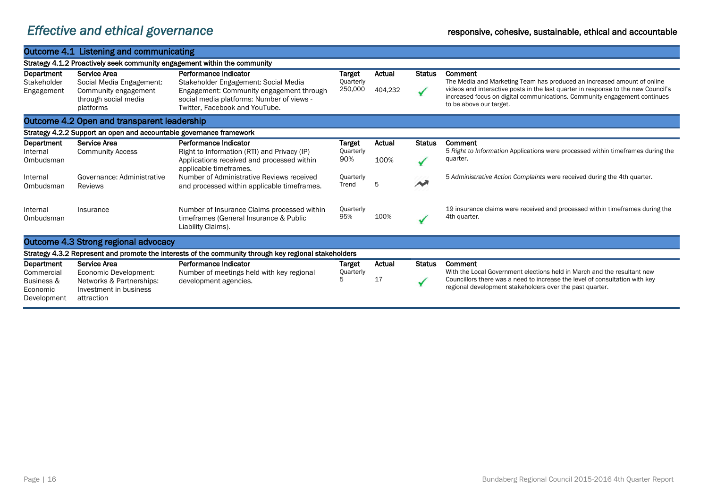# *Effective and ethical governance* responsive, cohesive, sustainable, ethical and accountable

|                                                                           | Outcome 4.1 Listening and communicating                                                   |                                                                                                                         |                            |         |               |                                                                                                                                                                                                                    |  |  |  |
|---------------------------------------------------------------------------|-------------------------------------------------------------------------------------------|-------------------------------------------------------------------------------------------------------------------------|----------------------------|---------|---------------|--------------------------------------------------------------------------------------------------------------------------------------------------------------------------------------------------------------------|--|--|--|
| Strategy 4.1.2 Proactively seek community engagement within the community |                                                                                           |                                                                                                                         |                            |         |               |                                                                                                                                                                                                                    |  |  |  |
| Department<br>Stakeholder                                                 | Service Area<br>Social Media Engagement:                                                  | Performance Indicator<br>Stakeholder Engagement: Social Media                                                           | Target<br>Quarterly        | Actual  | <b>Status</b> | Comment<br>The Media and Marketing Team has produced an increased amount of online                                                                                                                                 |  |  |  |
| Engagement                                                                | Community engagement<br>through social media<br>platforms                                 | Engagement: Community engagement through<br>social media platforms: Number of views -<br>Twitter, Facebook and YouTube. | 250,000                    | 404,232 | $\sqrt{2}$    | videos and interactive posts in the last quarter in response to the new Council's<br>increased focus on digital communications. Community engagement continues<br>to be above our target.                          |  |  |  |
| Outcome 4.2 Open and transparent leadership                               |                                                                                           |                                                                                                                         |                            |         |               |                                                                                                                                                                                                                    |  |  |  |
|                                                                           | Strategy 4.2.2 Support an open and accountable governance framework                       |                                                                                                                         |                            |         |               |                                                                                                                                                                                                                    |  |  |  |
| Department<br>Internal                                                    | Service Area<br><b>Community Access</b>                                                   | Performance Indicator<br>Right to Information (RTI) and Privacy (IP)                                                    | <b>Target</b><br>Quarterly | Actual  | <b>Status</b> | Comment<br>5 Right to Information Applications were processed within timeframes during the                                                                                                                         |  |  |  |
| Ombudsman                                                                 |                                                                                           | Applications received and processed within<br>applicable timeframes.                                                    | 90%                        | 100%    |               | quarter.                                                                                                                                                                                                           |  |  |  |
| Internal<br>Ombudsman                                                     | Governance: Administrative<br><b>Reviews</b>                                              | Number of Administrative Reviews received<br>and processed within applicable time frames.                               | Quarterly<br>Trend         | 5       |               | 5 Administrative Action Complaints were received during the 4th quarter.                                                                                                                                           |  |  |  |
| Internal<br>Ombudsman                                                     | Insurance                                                                                 | Number of Insurance Claims processed within<br>timeframes (General Insurance & Public<br>Liability Claims).             | Quarterly<br>95%           | 100%    |               | 19 insurance claims were received and processed within timeframes during the<br>4th quarter.                                                                                                                       |  |  |  |
|                                                                           | Outcome 4.3 Strong regional advocacy                                                      |                                                                                                                         |                            |         |               |                                                                                                                                                                                                                    |  |  |  |
|                                                                           |                                                                                           | Strategy 4.3.2 Represent and promote the interests of the community through key regional stakeholders                   |                            |         |               |                                                                                                                                                                                                                    |  |  |  |
| Department                                                                | Service Area                                                                              | Performance Indicator                                                                                                   | Target                     | Actual  | <b>Status</b> | Comment                                                                                                                                                                                                            |  |  |  |
| Commercial<br>Business &<br>Economic<br>Development                       | Economic Development:<br>Networks & Partnerships:<br>Investment in business<br>attraction | Number of meetings held with key regional<br>development agencies.                                                      | Quarterly<br>5             | 17      |               | With the Local Government elections held in March and the resultant new<br>Councillors there was a need to increase the level of consultation with key<br>regional development stakeholders over the past quarter. |  |  |  |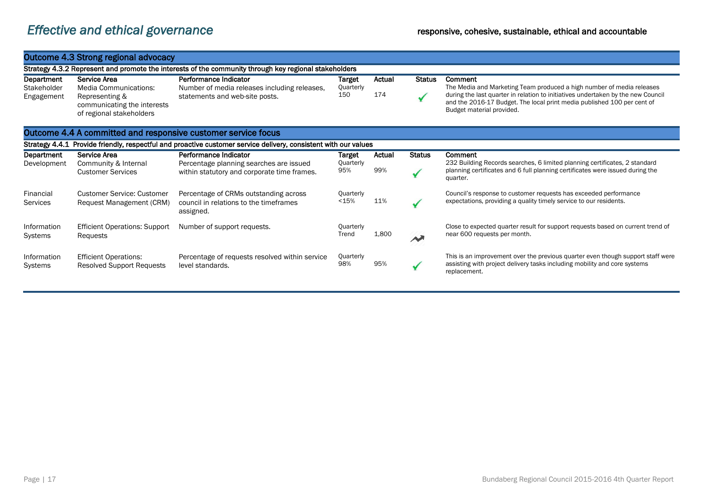### Outcome 4.3 Strong regional advocacy

|                                         | Strategy 4.3.2 Represent and promote the interests of the community through key regional stakeholders              |                                                                                                         |                            |               |               |                                                                                                                                                                                                                                                                              |  |  |  |
|-----------------------------------------|--------------------------------------------------------------------------------------------------------------------|---------------------------------------------------------------------------------------------------------|----------------------------|---------------|---------------|------------------------------------------------------------------------------------------------------------------------------------------------------------------------------------------------------------------------------------------------------------------------------|--|--|--|
| Department<br>Stakeholder<br>Engagement | Service Area<br>Media Communications:<br>Representing &<br>communicating the interests<br>of regional stakeholders | Performance Indicator<br>Number of media releases including releases,<br>statements and web-site posts. | Target<br>Quarterly<br>15C | Actual<br>174 | <b>Status</b> | Comment<br>The Media and Marketing Team produced a high number of media releases<br>during the last quarter in relation to initiatives undertaken by the new Council<br>and the 2016-17 Budget. The local print media published 100 per cent of<br>Budget material provided. |  |  |  |

### Outcome 4.4 A committed and responsive customer service focus

|                        | Strategy 4.4.1 Provide friendly, respectful and proactive customer service delivery, consistent with our values |                                                                                              |                    |        |               |                                                                                                                                                                              |  |  |  |
|------------------------|-----------------------------------------------------------------------------------------------------------------|----------------------------------------------------------------------------------------------|--------------------|--------|---------------|------------------------------------------------------------------------------------------------------------------------------------------------------------------------------|--|--|--|
| Department             | Service Area                                                                                                    | Performance Indicator                                                                        | Target             | Actual | <b>Status</b> | Comment                                                                                                                                                                      |  |  |  |
| Development            | Community & Internal<br><b>Customer Services</b>                                                                | Percentage planning searches are issued<br>within statutory and corporate time frames.       | Quarterly<br>95%   | 99%    |               | 232 Building Records searches, 6 limited planning certificates, 2 standard<br>planning certificates and 6 full planning certificates were issued during the<br>quarter.      |  |  |  |
| Financial<br>Services  | <b>Customer Service: Customer</b><br>Request Management (CRM)                                                   | Percentage of CRMs outstanding across<br>council in relations to the timeframes<br>assigned. | Quarterly<br>< 15% | 11%    |               | Council's response to customer requests has exceeded performance<br>expectations, providing a quality timely service to our residents.                                       |  |  |  |
| Information<br>Systems | <b>Efficient Operations: Support</b><br>Requests                                                                | Number of support requests.                                                                  | Quarterly<br>Trend | 1,800  |               | Close to expected quarter result for support requests based on current trend of<br>near 600 requests per month.                                                              |  |  |  |
| Information<br>Systems | <b>Efficient Operations:</b><br><b>Resolved Support Requests</b>                                                | Percentage of requests resolved within service<br>level standards.                           | Quarterly<br>98%   | 95%    |               | This is an improvement over the previous quarter even though support staff were<br>assisting with project delivery tasks including mobility and core systems<br>replacement. |  |  |  |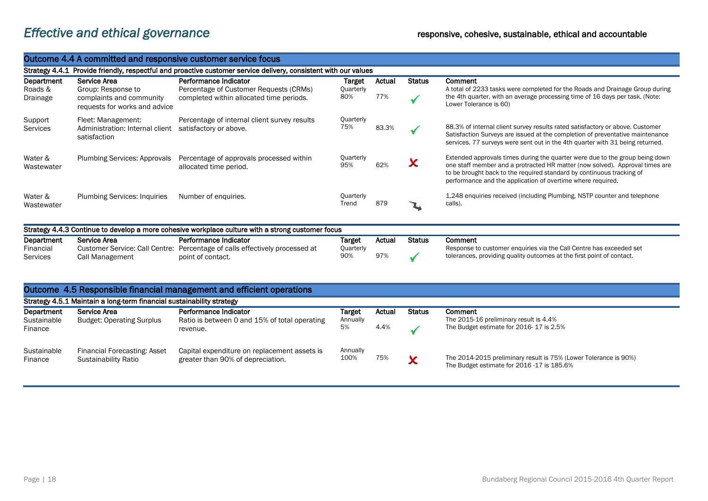## *Effective and ethical governance* responsive, cohesive, sustainable, ethical and accountable

#### Outcome 4.4 A committed and responsive customer service focus

Strategy 4.4.1 Provide friendly, respectful and proactive customer service delivery, consistent with our values

| Department<br>Roads &<br>Drainage | Service Area<br>Group: Response to<br>complaints and community<br>requests for works and advice | Performance Indicator<br>Percentage of Customer Requests (CRMs)<br>completed within allocated time periods. | Target<br>Quarterly<br>80% | Actual<br>77% | Status | Comment<br>A total of 2233 tasks were completed for the Roads and Drainage Group during<br>the 4th quarter, with an average processing time of 16 days per task. (Note:<br>Lower Tolerance is 60)                                                                                                    |
|-----------------------------------|-------------------------------------------------------------------------------------------------|-------------------------------------------------------------------------------------------------------------|----------------------------|---------------|--------|------------------------------------------------------------------------------------------------------------------------------------------------------------------------------------------------------------------------------------------------------------------------------------------------------|
| Support<br>Services               | Fleet: Management:<br>Administration: Internal client<br>satisfaction                           | Percentage of internal client survey results<br>satisfactory or above.                                      | Quarterly<br>75%           | 83.3%         |        | 88.3% of internal client survey results rated satisfactory or above. Customer<br>Satisfaction Surveys are issued at the completion of preventative maintenance<br>services. 77 surveys were sent out in the 4th quarter with 31 being returned.                                                      |
| Water &<br>Wastewater             | <b>Plumbing Services: Approvals</b>                                                             | Percentage of approvals processed within<br>allocated time period.                                          | Quarterly<br>95%           | 62%           | X      | Extended approvals times during the quarter were due to the group being down<br>one staff member and a protracted HR matter (now solved). Approval times are<br>to be brought back to the required standard by continuous tracking of<br>performance and the application of overtime where required. |
| Water &<br>Wastewater             | <b>Plumbing Services: Inquiries</b>                                                             | Number of enquiries.                                                                                        | Quarterly<br>Trend         | 879           |        | 1,248 enquiries received (including Plumbing, NSTP counter and telephone<br>calls).                                                                                                                                                                                                                  |

| Strategy 4.4.3 Continue to develop a more cohesive workplace culture with a strong customer focus |                 |                                                                             |           |        |        |                                                                       |  |  |
|---------------------------------------------------------------------------------------------------|-----------------|-----------------------------------------------------------------------------|-----------|--------|--------|-----------------------------------------------------------------------|--|--|
| Department                                                                                        | Service Area    | Performance Indicator                                                       | Target    | Actual | Status | Comment                                                               |  |  |
| Financial                                                                                         |                 | Customer Service: Call Centre: Percentage of calls effectively processed at | Quarterly |        |        | Response to customer enquiries via the Call Centre has exceeded set   |  |  |
| <b>Services</b>                                                                                   | Call Management | point of contact.                                                           | 90%       | 97%    |        | tolerances, providing quality outcomes at the first point of contact. |  |  |

#### Outcome 4.5 Responsible financial management and efficient operations

|                                      | Strategy 4.5.1 Maintain a long-term financial sustainability strategy |                                                                                    |                          |                |               |                                                                                                                |  |  |
|--------------------------------------|-----------------------------------------------------------------------|------------------------------------------------------------------------------------|--------------------------|----------------|---------------|----------------------------------------------------------------------------------------------------------------|--|--|
| Department<br>Sustainable<br>Finance | Service Area<br><b>Budget: Operating Surplus</b>                      | Performance Indicator<br>Ratio is between 0 and 15% of total operating<br>revenue. | Target<br>Annually<br>5% | Actual<br>4.4% | <b>Status</b> | Comment<br>The 2015-16 preliminary result is 4.4%<br>The Budget estimate for 2016-17 is 2.5%                   |  |  |
| Sustainable<br>Finance               | Financial Forecasting: Asset<br>Sustainability Ratio                  | Capital expenditure on replacement assets is<br>greater than 90% of depreciation.  | Annually<br>100%         | 75%            | $\checkmark$  | The 2014-2015 preliminary result is 75% (Lower Tolerance is 90%)<br>The Budget estimate for 2016 -17 is 185.6% |  |  |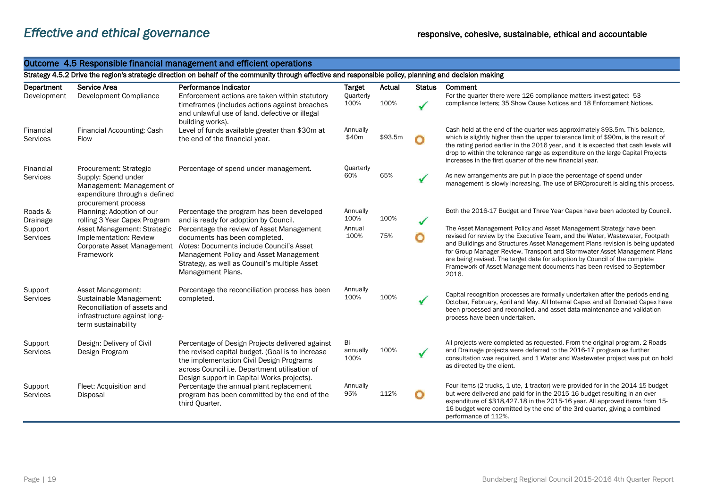### Outcome 4.5 Responsible financial management and efficient operations

#### Strategy 4.5.2 Drive the region's strategic direction on behalf of the community through effective and responsible policy, planning and decision making

| Department                   | Service Area                                                                                                                        | Performance Indicator                                                                                                                                                                                                                  | <b>Target</b>           | Actual  | <b>Status</b> | Comment                                                                                                                                                                                                                                                                                                                                                                                                                                                                            |
|------------------------------|-------------------------------------------------------------------------------------------------------------------------------------|----------------------------------------------------------------------------------------------------------------------------------------------------------------------------------------------------------------------------------------|-------------------------|---------|---------------|------------------------------------------------------------------------------------------------------------------------------------------------------------------------------------------------------------------------------------------------------------------------------------------------------------------------------------------------------------------------------------------------------------------------------------------------------------------------------------|
| Development                  | Development Compliance                                                                                                              | Enforcement actions are taken within statutory<br>timeframes (includes actions against breaches<br>and unlawful use of land, defective or illegal<br>building works).                                                                  | Quarterly<br>100%       | 100%    |               | For the quarter there were 126 compliance matters investigated: 53<br>compliance letters; 35 Show Cause Notices and 18 Enforcement Notices.                                                                                                                                                                                                                                                                                                                                        |
| Financial<br><b>Services</b> | Financial Accounting: Cash<br><b>Flow</b>                                                                                           | Level of funds available greater than \$30m at<br>the end of the financial year.                                                                                                                                                       | Annually<br>\$40m       | \$93.5m |               | Cash held at the end of the quarter was approximately \$93.5m. This balance,<br>which is slightly higher than the upper tolerance limit of \$90m, is the result of<br>the rating period earlier in the 2016 year, and it is expected that cash levels will<br>drop to within the tolerance range as expenditure on the large Capital Projects<br>increases in the first quarter of the new financial year.                                                                         |
| Financial<br><b>Services</b> | Procurement: Strategic<br>Supply: Spend under<br>Management: Management of<br>expenditure through a defined<br>procurement process  | Percentage of spend under management.                                                                                                                                                                                                  | Quarterly<br>60%        | 65%     |               | As new arrangements are put in place the percentage of spend under<br>management is slowly increasing. The use of BRCprocureit is aiding this process.                                                                                                                                                                                                                                                                                                                             |
| Roads &<br>Drainage          | Planning: Adoption of our<br>rolling 3 Year Capex Program                                                                           | Percentage the program has been developed<br>and is ready for adoption by Council.                                                                                                                                                     | Annually<br>100%        | 100%    |               | Both the 2016-17 Budget and Three Year Capex have been adopted by Council.                                                                                                                                                                                                                                                                                                                                                                                                         |
| Support<br><b>Services</b>   | Asset Management: Strategic<br>Implementation: Review<br>Corporate Asset Management<br>Framework                                    | Percentage the review of Asset Management<br>documents has been completed.<br>Notes: Documents include Council's Asset<br>Management Policy and Asset Management<br>Strategy, as well as Council's multiple Asset<br>Management Plans. | Annual<br>100%          | 75%     | О             | The Asset Management Policy and Asset Management Strategy have been<br>revised for review by the Executive Team, and the Water, Wastewater, Footpath<br>and Buildings and Structures Asset Management Plans revision is being updated<br>for Group Manager Review. Transport and Stormwater Asset Management Plans<br>are being revised. The target date for adoption by Council of the complete<br>Framework of Asset Management documents has been revised to September<br>2016. |
| Support<br><b>Services</b>   | Asset Management:<br>Sustainable Management:<br>Reconciliation of assets and<br>infrastructure against long-<br>term sustainability | Percentage the reconciliation process has been<br>completed.                                                                                                                                                                           | Annually<br>100%        | 100%    |               | Capital recognition processes are formally undertaken after the periods ending<br>October, February, April and May. All Internal Capex and all Donated Capex have<br>been processed and reconciled, and asset data maintenance and validation<br>process have been undertaken.                                                                                                                                                                                                     |
| Support<br>Services          | Design: Delivery of Civil<br>Design Program                                                                                         | Percentage of Design Projects delivered against<br>the revised capital budget. (Goal is to increase<br>the implementation Civil Design Programs<br>across Council i.e. Department utilisation of                                       | Bi-<br>annually<br>100% | 100%    |               | All projects were completed as requested. From the original program. 2 Roads<br>and Drainage projects were deferred to the 2016-17 program as further<br>consultation was required, and 1 Water and Wastewater project was put on hold<br>as directed by the client.                                                                                                                                                                                                               |
| Support<br><b>Services</b>   | Fleet: Acquisition and<br>Disposal                                                                                                  | Design support in Capital Works projects).<br>Percentage the annual plant replacement<br>program has been committed by the end of the<br>third Quarter.                                                                                | Annually<br>95%         | 112%    |               | Four items (2 trucks, 1 ute, 1 tractor) were provided for in the 2014-15 budget<br>but were delivered and paid for in the 2015-16 budget resulting in an over<br>expenditure of \$318,427.18 in the 2015-16 year. All approved items from 15-<br>16 budget were committed by the end of the 3rd quarter, giving a combined<br>performance of 112%.                                                                                                                                 |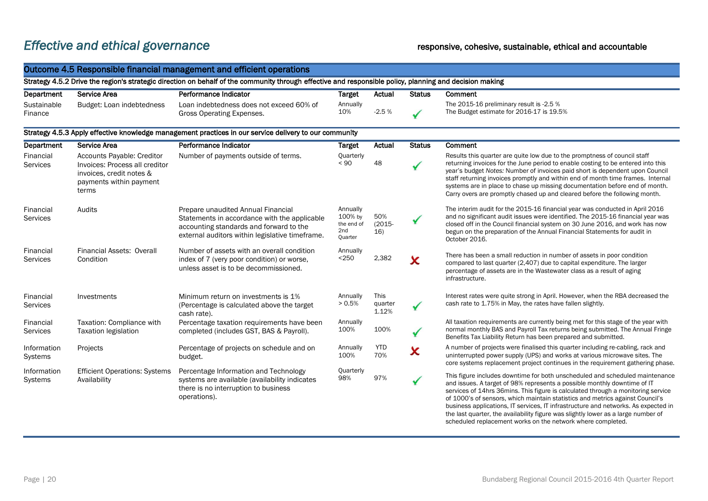# *Effective and ethical governance* responsive, cohesive, sustainable, ethical and accountable

| Outcome 4.5 Responsible financial management and efficient operations |                                                                                                                              |                                                                                                                                                                                  |                                                     |                          |               |                                                                                                                                                                                                                                                                                                                                                                                                                                                                                                                                                                         |  |
|-----------------------------------------------------------------------|------------------------------------------------------------------------------------------------------------------------------|----------------------------------------------------------------------------------------------------------------------------------------------------------------------------------|-----------------------------------------------------|--------------------------|---------------|-------------------------------------------------------------------------------------------------------------------------------------------------------------------------------------------------------------------------------------------------------------------------------------------------------------------------------------------------------------------------------------------------------------------------------------------------------------------------------------------------------------------------------------------------------------------------|--|
|                                                                       |                                                                                                                              | Strategy 4.5.2 Drive the region's strategic direction on behalf of the community through effective and responsible policy, planning and decision making                          |                                                     |                          |               |                                                                                                                                                                                                                                                                                                                                                                                                                                                                                                                                                                         |  |
| Department                                                            | Service Area                                                                                                                 | Performance Indicator                                                                                                                                                            | <b>Target</b>                                       | Actual                   | <b>Status</b> | <b>Comment</b>                                                                                                                                                                                                                                                                                                                                                                                                                                                                                                                                                          |  |
| Sustainable<br>Finance                                                | Budget: Loan indebtedness                                                                                                    | Loan indebtedness does not exceed 60% of<br><b>Gross Operating Expenses.</b>                                                                                                     | Annually<br>10%                                     | $-2.5%$                  |               | The 2015-16 preliminary result is -2.5 %<br>The Budget estimate for 2016-17 is 19.5%                                                                                                                                                                                                                                                                                                                                                                                                                                                                                    |  |
|                                                                       |                                                                                                                              | Strategy 4.5.3 Apply effective knowledge management practices in our service delivery to our community                                                                           |                                                     |                          |               |                                                                                                                                                                                                                                                                                                                                                                                                                                                                                                                                                                         |  |
| <b>Department</b>                                                     | Service Area                                                                                                                 | Performance Indicator                                                                                                                                                            | <b>Target</b>                                       | Actual                   | <b>Status</b> | Comment                                                                                                                                                                                                                                                                                                                                                                                                                                                                                                                                                                 |  |
| Financial<br><b>Services</b>                                          | Accounts Payable: Creditor<br>Invoices: Process all creditor<br>invoices, credit notes &<br>payments within payment<br>terms | Number of payments outside of terms.                                                                                                                                             | Quarterly<br>< 90                                   | 48                       | $\checkmark$  | Results this quarter are quite low due to the promptness of council staff<br>returning invoices for the June period to enable costing to be entered into this<br>year's budget Notes: Number of invoices paid short is dependent upon Council<br>staff returning invoices promptly and within end of month time frames. Internal<br>systems are in place to chase up missing documentation before end of month.<br>Carry overs are promptly chased up and cleared before the following month.                                                                           |  |
| Financial<br><b>Services</b>                                          | Audits                                                                                                                       | Prepare unaudited Annual Financial<br>Statements in accordance with the applicable<br>accounting standards and forward to the<br>external auditors within legislative timeframe. | Annually<br>100% by<br>the end of<br>2nd<br>Quarter | 50%<br>$(2015 -$<br>16)  | ✔             | The interim audit for the 2015-16 financial year was conducted in April 2016<br>and no significant audit issues were identified. The 2015-16 financial year was<br>closed off in the Council financial system on 30 June 2016, and work has now<br>begun on the preparation of the Annual Financial Statements for audit in<br>October 2016.                                                                                                                                                                                                                            |  |
| Financial<br><b>Services</b>                                          | Financial Assets: Overall<br>Condition                                                                                       | Number of assets with an overall condition<br>index of 7 (very poor condition) or worse,<br>unless asset is to be decommissioned.                                                | Annually<br>< 250                                   | 2,382                    | x             | There has been a small reduction in number of assets in poor condition<br>compared to last quarter (2,407) due to capital expenditure. The larger<br>percentage of assets are in the Wastewater class as a result of aging<br>infrastructure.                                                                                                                                                                                                                                                                                                                           |  |
| Financial<br><b>Services</b>                                          | Investments                                                                                                                  | Minimum return on investments is 1%<br>(Percentage is calculated above the target<br>cash rate).                                                                                 | Annually<br>> 0.5%                                  | This<br>quarter<br>1.12% | ✔             | Interest rates were quite strong in April. However, when the RBA decreased the<br>cash rate to 1.75% in May, the rates have fallen slightly.                                                                                                                                                                                                                                                                                                                                                                                                                            |  |
| Financial<br>Services                                                 | Taxation: Compliance with<br><b>Taxation legislation</b>                                                                     | Percentage taxation requirements have been<br>completed (includes GST, BAS & Payroll).                                                                                           | Annually<br>100%                                    | 100%                     | ✔             | All taxation requirements are currently being met for this stage of the year with<br>normal monthly BAS and Payroll Tax returns being submitted. The Annual Fringe<br>Benefits Tax Liability Return has been prepared and submitted.                                                                                                                                                                                                                                                                                                                                    |  |
| Information<br>Systems                                                | Projects                                                                                                                     | Percentage of projects on schedule and on<br>budget.                                                                                                                             | Annually<br>100%                                    | YTD<br>70%               | X             | A number of projects were finalised this quarter including re-cabling, rack and<br>uninterrupted power supply (UPS) and works at various microwave sites. The<br>core systems replacement project continues in the requirement gathering phase.                                                                                                                                                                                                                                                                                                                         |  |
| Information<br><b>Systems</b>                                         | <b>Efficient Operations: Systems</b><br>Availability                                                                         | Percentage Information and Technology<br>systems are available (availability indicates<br>there is no interruption to business<br>operations).                                   | Quarterly<br>98%                                    | 97%                      | $\checkmark$  | This figure includes downtime for both unscheduled and scheduled maintenance<br>and issues. A target of 98% represents a possible monthly downtime of IT<br>services of 14hrs 36mins. This figure is calculated through a monitoring service<br>of 1000's of sensors, which maintain statistics and metrics against Council's<br>business applications, IT services, IT infrastructure and networks. As expected in<br>the last quarter, the availability figure was slightly lower as a large number of<br>scheduled replacement works on the network where completed. |  |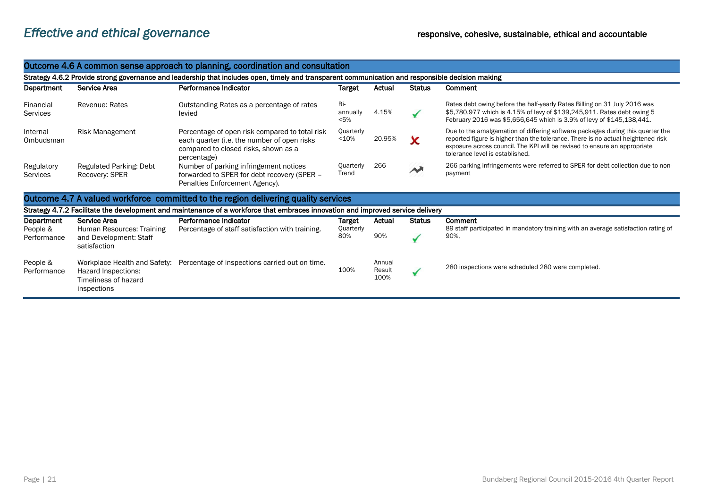| Outcome 4.6 A common sense approach to planning, coordination and consultation                                                                   |                                                                                            |                                                                                                                                                      |                         |                          |               |                                                                                                                                                                                                                                                                                    |  |  |
|--------------------------------------------------------------------------------------------------------------------------------------------------|--------------------------------------------------------------------------------------------|------------------------------------------------------------------------------------------------------------------------------------------------------|-------------------------|--------------------------|---------------|------------------------------------------------------------------------------------------------------------------------------------------------------------------------------------------------------------------------------------------------------------------------------------|--|--|
| Strategy 4.6.2 Provide strong governance and leadership that includes open, timely and transparent communication and responsible decision making |                                                                                            |                                                                                                                                                      |                         |                          |               |                                                                                                                                                                                                                                                                                    |  |  |
| Department                                                                                                                                       | Service Area                                                                               | Performance Indicator                                                                                                                                | Target                  | Actual                   | <b>Status</b> | Comment                                                                                                                                                                                                                                                                            |  |  |
| Financial<br>Services                                                                                                                            | Revenue: Rates                                                                             | Outstanding Rates as a percentage of rates<br>levied                                                                                                 | Bi-<br>annually<br>< 5% | 4.15%                    |               | Rates debt owing before the half-yearly Rates Billing on 31 July 2016 was<br>\$5,780,977 which is 4.15% of levy of \$139,245,911. Rates debt owing 5<br>February 2016 was \$5,656,645 which is 3.9% of levy of \$145,138,441.                                                      |  |  |
| Internal<br>Ombudsman                                                                                                                            | <b>Risk Management</b>                                                                     | Percentage of open risk compared to total risk<br>each quarter (i.e. the number of open risks<br>compared to closed risks, shown as a<br>percentage) | Quarterly<br><10%       | 20.95%                   |               | Due to the amalgamation of differing software packages during this quarter the<br>reported figure is higher than the tolerance. There is no actual heightened risk<br>exposure across council. The KPI will be revised to ensure an appropriate<br>tolerance level is established. |  |  |
| Regulatory<br>Services                                                                                                                           | Regulated Parking: Debt<br>Recovery: SPER                                                  | Number of parking infringement notices<br>forwarded to SPER for debt recovery (SPER -<br>Penalties Enforcement Agency).                              | Quarterly<br>Trend      | 266                      |               | 266 parking infringements were referred to SPER for debt collection due to non-<br>payment                                                                                                                                                                                         |  |  |
|                                                                                                                                                  |                                                                                            | Outcome 4.7 A valued workforce committed to the region delivering quality services                                                                   |                         |                          |               |                                                                                                                                                                                                                                                                                    |  |  |
|                                                                                                                                                  |                                                                                            | Strategy 4.7.2 Facilitate the development and maintenance of a workforce that embraces innovation and improved service delivery                      |                         |                          |               |                                                                                                                                                                                                                                                                                    |  |  |
| Department                                                                                                                                       | Service Area                                                                               | Performance Indicator                                                                                                                                | Target                  | Actual                   | <b>Status</b> | Comment                                                                                                                                                                                                                                                                            |  |  |
| People &<br>Performance                                                                                                                          | Human Resources: Training<br>and Development: Staff<br>satisfaction                        | Percentage of staff satisfaction with training.                                                                                                      | Quarterly<br>80%        | 90%                      |               | 89 staff participated in mandatory training with an average satisfaction rating of<br>90%.                                                                                                                                                                                         |  |  |
| People &<br>Performance                                                                                                                          | Workplace Health and Safety:<br>Hazard Inspections:<br>Timeliness of hazard<br>inspections | Percentage of inspections carried out on time.                                                                                                       | 100%                    | Annual<br>Result<br>100% |               | 280 inspections were scheduled 280 were completed.                                                                                                                                                                                                                                 |  |  |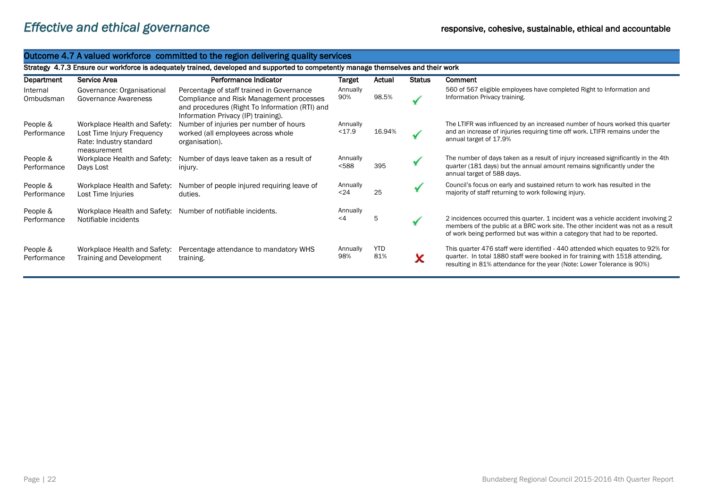#### Outcome 4.7 A valued workforce committed to the region delivering quality services Strategy 4.7.3 Ensure our workforce is adequately trained, developed and supported to competently manage themselves and their work Department Service Area Performance Indicator Target Actual Status Comment Internal Governance: Organisational Percentage of staff trained in Governance Annually 560 of 567 eligible employees have completed Right to Information and 90% 98.5% Information Privacy training.  $\checkmark$ Ombudsman Governance Awareness Compliance and Risk Management processes and procedures (Right To Information (RTI) and Information Privacy (IP) training). The LTIFR was influenced by an increased number of hours worked this quarter People & Workplace Health and Safety: Number of injuries per number of hours Annually <17.9 16.94% and an increase of injuries requiring time off work. LTIFR remains under the Performance Lost Time Injury Frequency worked (all employees across whole annual target of 17.9% Rate: Industry standard organisation). measurement People & Workplace Health and Safety: Number of days leave taken as a result of Annually The number of days taken as a result of injury increased significantly in the 4th <588 395 quarter (181 days) but the annual amount remains significantly under the Performance Days Lost injury. annual target of 588 days. People & Workplace Health and Safety: Number of people injured requiring leave of Annually Council's focus on early and sustained return to work has resulted in the  $\checkmark$ <24 25 majority of staff returning to work following injury. **Performance** Lost Time Injuries duties. People & Workplace Health and Safety: Number of notifiable incidents. Annually **Performance** Notifiable incidents <4 5 2 incidences occurred this quarter. 1 incident was a vehicle accident involving 2 members of the public at a BRC work site. The other incident was not as a result of work being performed but was within a category that had to be reported. This quarter 476 staff were identified - 440 attended which equates to 92% for People & Workplace Health and Safety: Percentage attendance to mandatory WHS Annually YTD 81% quarter. In total 1880 staff were booked in for training with 1518 attending, 98% X Performance Training and Development training. resulting in 81% attendance for the year (Note: Lower Tolerance is 90%)